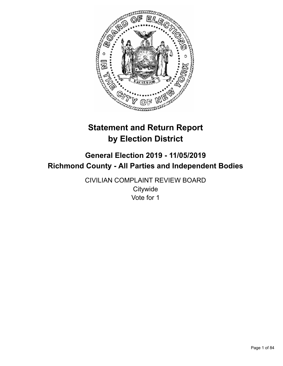

# **Statement and Return Report by Election District**

# **General Election 2019 - 11/05/2019 Richmond County - All Parties and Independent Bodies**

CIVILIAN COMPLAINT REVIEW BOARD **Citywide** Vote for 1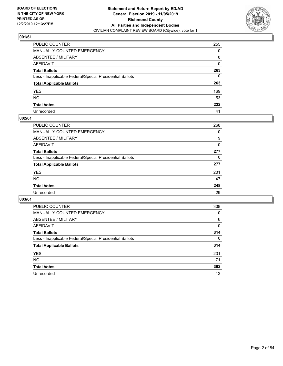

| PUBLIC COUNTER                                           | 255          |
|----------------------------------------------------------|--------------|
| MANUALLY COUNTED EMERGENCY                               | 0            |
| ABSENTEE / MILITARY                                      | 8            |
| AFFIDAVIT                                                | $\mathbf{0}$ |
| Total Ballots                                            | 263          |
| Less - Inapplicable Federal/Special Presidential Ballots | $\mathbf{0}$ |
| <b>Total Applicable Ballots</b>                          | 263          |
| YES                                                      | 169          |
| NO.                                                      | 53           |
| <b>Total Votes</b>                                       | 222          |
| Unrecorded                                               | 41           |

## **002/61**

| <b>PUBLIC COUNTER</b>                                    | 268 |
|----------------------------------------------------------|-----|
| <b>MANUALLY COUNTED EMERGENCY</b>                        | 0   |
| ABSENTEE / MILITARY                                      | 9   |
| AFFIDAVIT                                                | 0   |
| <b>Total Ballots</b>                                     | 277 |
| Less - Inapplicable Federal/Special Presidential Ballots | 0   |
| <b>Total Applicable Ballots</b>                          | 277 |
| <b>YES</b>                                               | 201 |
| <b>NO</b>                                                | 47  |
| <b>Total Votes</b>                                       | 248 |
| Unrecorded                                               | 29  |

| <b>PUBLIC COUNTER</b>                                    | 308      |
|----------------------------------------------------------|----------|
| <b>MANUALLY COUNTED EMERGENCY</b>                        | 0        |
| ABSENTEE / MILITARY                                      | 6        |
| AFFIDAVIT                                                | 0        |
| <b>Total Ballots</b>                                     | 314      |
| Less - Inapplicable Federal/Special Presidential Ballots | $\Omega$ |
| <b>Total Applicable Ballots</b>                          | 314      |
| <b>YES</b>                                               | 231      |
| NO.                                                      | 71       |
| <b>Total Votes</b>                                       | 302      |
| Unrecorded                                               | 12       |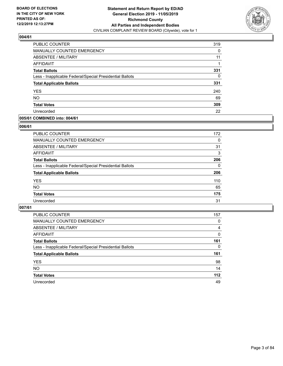

| PUBLIC COUNTER                                           | 319 |
|----------------------------------------------------------|-----|
| <b>MANUALLY COUNTED EMERGENCY</b>                        | 0   |
| ABSENTEE / MILITARY                                      | 11  |
| <b>AFFIDAVIT</b>                                         |     |
| <b>Total Ballots</b>                                     | 331 |
| Less - Inapplicable Federal/Special Presidential Ballots | 0   |
| <b>Total Applicable Ballots</b>                          | 331 |
| <b>YES</b>                                               | 240 |
| <b>NO</b>                                                | 69  |
| <b>Total Votes</b>                                       | 309 |
| Unrecorded                                               | 22  |

## **005/61 COMBINED into: 004/61**

#### **006/61**

| <b>PUBLIC COUNTER</b>                                    | 172      |
|----------------------------------------------------------|----------|
| MANUALLY COUNTED EMERGENCY                               | 0        |
| ABSENTEE / MILITARY                                      | 31       |
| AFFIDAVIT                                                | 3        |
| <b>Total Ballots</b>                                     | 206      |
| Less - Inapplicable Federal/Special Presidential Ballots | $\Omega$ |
| <b>Total Applicable Ballots</b>                          | 206      |
| <b>YES</b>                                               | 110      |
| <b>NO</b>                                                | 65       |
| <b>Total Votes</b>                                       | 175      |
| Unrecorded                                               | 31       |

| <b>PUBLIC COUNTER</b>                                    | 157      |
|----------------------------------------------------------|----------|
| MANUALLY COUNTED EMERGENCY                               | 0        |
| ABSENTEE / MILITARY                                      | 4        |
| AFFIDAVIT                                                | $\Omega$ |
| <b>Total Ballots</b>                                     | 161      |
| Less - Inapplicable Federal/Special Presidential Ballots | 0        |
| <b>Total Applicable Ballots</b>                          | 161      |
| <b>YES</b>                                               | 98       |
| <b>NO</b>                                                | 14       |
| <b>Total Votes</b>                                       | $112$    |
| Unrecorded                                               | 49       |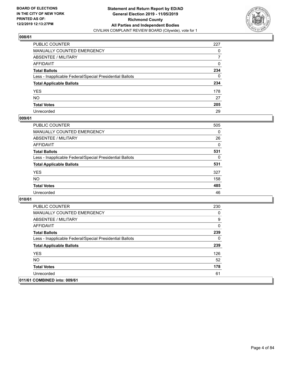

| PUBLIC COUNTER                                           | 227      |
|----------------------------------------------------------|----------|
| MANUALLY COUNTED EMERGENCY                               | 0        |
| ABSENTEE / MILITARY                                      | 7        |
| AFFIDAVIT                                                | 0        |
| Total Ballots                                            | 234      |
| Less - Inapplicable Federal/Special Presidential Ballots | $\Omega$ |
| <b>Total Applicable Ballots</b>                          | 234      |
| YES                                                      | 178      |
| NO.                                                      | 27       |
| <b>Total Votes</b>                                       | 205      |
| Unrecorded                                               | 29       |

#### **009/61**

| <b>PUBLIC COUNTER</b>                                    | 505 |
|----------------------------------------------------------|-----|
| <b>MANUALLY COUNTED EMERGENCY</b>                        | 0   |
| ABSENTEE / MILITARY                                      | 26  |
| <b>AFFIDAVIT</b>                                         | 0   |
| <b>Total Ballots</b>                                     | 531 |
| Less - Inapplicable Federal/Special Presidential Ballots | 0   |
| <b>Total Applicable Ballots</b>                          | 531 |
| <b>YES</b>                                               | 327 |
| <b>NO</b>                                                | 158 |
| <b>Total Votes</b>                                       | 485 |
| Unrecorded                                               | 46  |

| <b>PUBLIC COUNTER</b>                                    | 230 |
|----------------------------------------------------------|-----|
| <b>MANUALLY COUNTED EMERGENCY</b>                        | 0   |
| ABSENTEE / MILITARY                                      | 9   |
| AFFIDAVIT                                                | 0   |
| <b>Total Ballots</b>                                     | 239 |
| Less - Inapplicable Federal/Special Presidential Ballots | 0   |
| <b>Total Applicable Ballots</b>                          | 239 |
| <b>YES</b>                                               | 126 |
| NO.                                                      | 52  |
| <b>Total Votes</b>                                       | 178 |
| Unrecorded                                               | 61  |
| 011/61 COMBINED into: 009/61                             |     |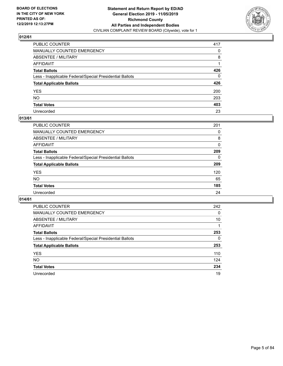

| PUBLIC COUNTER                                           | 417          |
|----------------------------------------------------------|--------------|
| MANUALLY COUNTED EMERGENCY                               | $\mathbf{0}$ |
| ABSENTEE / MILITARY                                      | 8            |
| AFFIDAVIT                                                |              |
| Total Ballots                                            | 426          |
| Less - Inapplicable Federal/Special Presidential Ballots | $\mathbf{0}$ |
| <b>Total Applicable Ballots</b>                          | 426          |
| YES                                                      | 200          |
| NO.                                                      | 203          |
| <b>Total Votes</b>                                       | 403          |
| Unrecorded                                               | 23           |

## **013/61**

| <b>PUBLIC COUNTER</b>                                    | 201      |
|----------------------------------------------------------|----------|
| MANUALLY COUNTED EMERGENCY                               | 0        |
| ABSENTEE / MILITARY                                      | 8        |
| AFFIDAVIT                                                | 0        |
| <b>Total Ballots</b>                                     | 209      |
| Less - Inapplicable Federal/Special Presidential Ballots | $\Omega$ |
| <b>Total Applicable Ballots</b>                          | 209      |
| <b>YES</b>                                               | 120      |
| <b>NO</b>                                                | 65       |
| <b>Total Votes</b>                                       | 185      |
| Unrecorded                                               | 24       |

| <b>PUBLIC COUNTER</b>                                    | 242 |
|----------------------------------------------------------|-----|
| <b>MANUALLY COUNTED EMERGENCY</b>                        | 0   |
| ABSENTEE / MILITARY                                      | 10  |
| AFFIDAVIT                                                |     |
| <b>Total Ballots</b>                                     | 253 |
| Less - Inapplicable Federal/Special Presidential Ballots | 0   |
| <b>Total Applicable Ballots</b>                          | 253 |
| <b>YES</b>                                               | 110 |
| <b>NO</b>                                                | 124 |
| <b>Total Votes</b>                                       | 234 |
| Unrecorded                                               | 19  |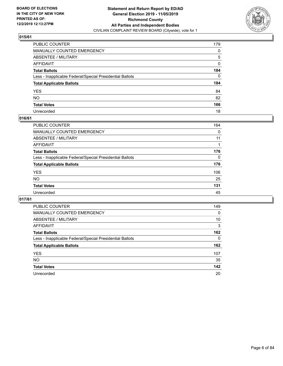

| PUBLIC COUNTER                                           | 179      |
|----------------------------------------------------------|----------|
| MANUALLY COUNTED EMERGENCY                               | 0        |
| ABSENTEE / MILITARY                                      | 5        |
| AFFIDAVIT                                                | 0        |
| Total Ballots                                            | 184      |
| Less - Inapplicable Federal/Special Presidential Ballots | $\Omega$ |
| <b>Total Applicable Ballots</b>                          | 184      |
| YES                                                      | 84       |
| NO.                                                      | 82       |
| <b>Total Votes</b>                                       | 166      |
| Unrecorded                                               | 18       |

## **016/61**

| PUBLIC COUNTER                                           | 164      |
|----------------------------------------------------------|----------|
| MANUALLY COUNTED EMERGENCY                               | 0        |
| ABSENTEE / MILITARY                                      | 11       |
| AFFIDAVIT                                                |          |
| <b>Total Ballots</b>                                     | 176      |
| Less - Inapplicable Federal/Special Presidential Ballots | $\Omega$ |
| <b>Total Applicable Ballots</b>                          | 176      |
| <b>YES</b>                                               | 106      |
| <b>NO</b>                                                | 25       |
| <b>Total Votes</b>                                       | 131      |
| Unrecorded                                               | 45       |

| <b>PUBLIC COUNTER</b>                                    | 149 |
|----------------------------------------------------------|-----|
| MANUALLY COUNTED EMERGENCY                               | 0   |
| ABSENTEE / MILITARY                                      | 10  |
| AFFIDAVIT                                                | 3   |
| <b>Total Ballots</b>                                     | 162 |
| Less - Inapplicable Federal/Special Presidential Ballots | 0   |
| <b>Total Applicable Ballots</b>                          | 162 |
| <b>YES</b>                                               | 107 |
| NO.                                                      | 35  |
| <b>Total Votes</b>                                       | 142 |
| Unrecorded                                               | 20  |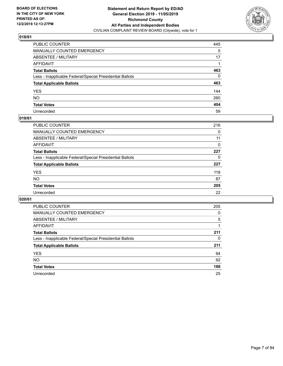

| PUBLIC COUNTER                                           | 445      |
|----------------------------------------------------------|----------|
| MANUALLY COUNTED EMERGENCY                               | 0        |
| ABSENTEE / MILITARY                                      | 17       |
| AFFIDAVIT                                                |          |
| Total Ballots                                            | 463      |
| Less - Inapplicable Federal/Special Presidential Ballots | $\Omega$ |
| <b>Total Applicable Ballots</b>                          | 463      |
| YES                                                      | 144      |
| NO.                                                      | 260      |
| <b>Total Votes</b>                                       | 404      |
| Unrecorded                                               | 59       |

## **019/61**

| <b>PUBLIC COUNTER</b>                                    | 216 |
|----------------------------------------------------------|-----|
| MANUALLY COUNTED EMERGENCY                               | 0   |
| ABSENTEE / MILITARY                                      | 11  |
| AFFIDAVIT                                                | 0   |
| <b>Total Ballots</b>                                     | 227 |
| Less - Inapplicable Federal/Special Presidential Ballots | 0   |
| <b>Total Applicable Ballots</b>                          | 227 |
| <b>YES</b>                                               | 118 |
| <b>NO</b>                                                | 87  |
| <b>Total Votes</b>                                       | 205 |
| Unrecorded                                               | 22  |

| <b>PUBLIC COUNTER</b>                                    | 205      |
|----------------------------------------------------------|----------|
| MANUALLY COUNTED EMERGENCY                               | $\Omega$ |
| ABSENTEE / MILITARY                                      | 5        |
| AFFIDAVIT                                                |          |
| <b>Total Ballots</b>                                     | 211      |
| Less - Inapplicable Federal/Special Presidential Ballots | 0        |
| <b>Total Applicable Ballots</b>                          | 211      |
| <b>YES</b>                                               | 94       |
| NO.                                                      | 92       |
| <b>Total Votes</b>                                       | 186      |
| Unrecorded                                               | 25       |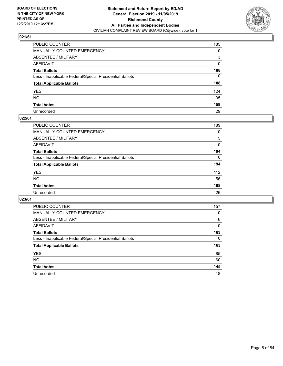

| PUBLIC COUNTER                                           | 185      |
|----------------------------------------------------------|----------|
| MANUALLY COUNTED EMERGENCY                               | 0        |
| ABSENTEE / MILITARY                                      | 3        |
| AFFIDAVIT                                                | $\Omega$ |
| Total Ballots                                            | 188      |
| Less - Inapplicable Federal/Special Presidential Ballots | 0        |
| <b>Total Applicable Ballots</b>                          | 188      |
| YES                                                      | 124      |
| NO.                                                      | 35       |
| <b>Total Votes</b>                                       | 159      |
| Unrecorded                                               | 29       |

## **022/61**

| PUBLIC COUNTER                                           | 189      |
|----------------------------------------------------------|----------|
| MANUALLY COUNTED EMERGENCY                               | 0        |
| ABSENTEE / MILITARY                                      | 5        |
| AFFIDAVIT                                                | $\Omega$ |
| <b>Total Ballots</b>                                     | 194      |
| Less - Inapplicable Federal/Special Presidential Ballots | $\Omega$ |
| <b>Total Applicable Ballots</b>                          | 194      |
| <b>YES</b>                                               | 112      |
| <b>NO</b>                                                | 56       |
| <b>Total Votes</b>                                       | 168      |
| Unrecorded                                               | 26       |

| PUBLIC COUNTER                                           | 157      |
|----------------------------------------------------------|----------|
| <b>MANUALLY COUNTED EMERGENCY</b>                        | 0        |
| <b>ABSENTEE / MILITARY</b>                               | 6        |
| <b>AFFIDAVIT</b>                                         | $\Omega$ |
| <b>Total Ballots</b>                                     | 163      |
| Less - Inapplicable Federal/Special Presidential Ballots | $\Omega$ |
| <b>Total Applicable Ballots</b>                          | 163      |
| <b>YES</b>                                               | 85       |
| <b>NO</b>                                                | 60       |
| <b>Total Votes</b>                                       | 145      |
| Unrecorded                                               | 18       |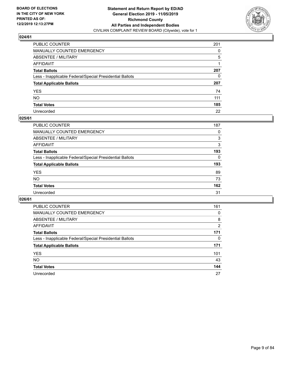

| PUBLIC COUNTER                                           | 201 |
|----------------------------------------------------------|-----|
| MANUALLY COUNTED EMERGENCY                               | 0   |
| ABSENTEE / MILITARY                                      | 5   |
| AFFIDAVIT                                                |     |
| Total Ballots                                            | 207 |
| Less - Inapplicable Federal/Special Presidential Ballots | 0   |
| <b>Total Applicable Ballots</b>                          | 207 |
| YES                                                      | 74  |
| NO.                                                      | 111 |
| <b>Total Votes</b>                                       | 185 |
| Unrecorded                                               | 22  |

#### **025/61**

| PUBLIC COUNTER                                           | 187      |
|----------------------------------------------------------|----------|
| MANUALLY COUNTED EMERGENCY                               | 0        |
| ABSENTEE / MILITARY                                      | 3        |
| AFFIDAVIT                                                | 3        |
| <b>Total Ballots</b>                                     | 193      |
| Less - Inapplicable Federal/Special Presidential Ballots | $\Omega$ |
| <b>Total Applicable Ballots</b>                          | 193      |
| <b>YES</b>                                               | 89       |
| <b>NO</b>                                                | 73       |
| <b>Total Votes</b>                                       | 162      |
| Unrecorded                                               | 31       |

| <b>PUBLIC COUNTER</b>                                    | 161 |
|----------------------------------------------------------|-----|
| MANUALLY COUNTED EMERGENCY                               | 0   |
| ABSENTEE / MILITARY                                      | 8   |
| AFFIDAVIT                                                | 2   |
| <b>Total Ballots</b>                                     | 171 |
| Less - Inapplicable Federal/Special Presidential Ballots | 0   |
| <b>Total Applicable Ballots</b>                          | 171 |
| <b>YES</b>                                               | 101 |
| <b>NO</b>                                                | 43  |
| <b>Total Votes</b>                                       | 144 |
| Unrecorded                                               | 27  |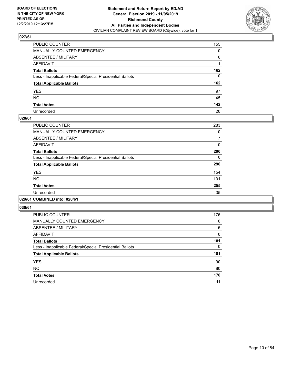

| PUBLIC COUNTER                                           | 155          |
|----------------------------------------------------------|--------------|
| MANUALLY COUNTED EMERGENCY                               | 0            |
| ABSENTEE / MILITARY                                      | 6            |
| AFFIDAVIT                                                |              |
| Total Ballots                                            | 162          |
| Less - Inapplicable Federal/Special Presidential Ballots | $\mathbf{0}$ |
| <b>Total Applicable Ballots</b>                          | 162          |
| YES                                                      | 97           |
| NO.                                                      | 45           |
| <b>Total Votes</b>                                       | 142          |
| Unrecorded                                               | 20           |

#### **028/61**

| <b>PUBLIC COUNTER</b>                                    | 283      |
|----------------------------------------------------------|----------|
| <b>MANUALLY COUNTED EMERGENCY</b>                        | 0        |
| ABSENTEE / MILITARY                                      | 7        |
| AFFIDAVIT                                                | $\Omega$ |
| <b>Total Ballots</b>                                     | 290      |
| Less - Inapplicable Federal/Special Presidential Ballots | $\Omega$ |
| <b>Total Applicable Ballots</b>                          | 290      |
| <b>YES</b>                                               | 154      |
| <b>NO</b>                                                | 101      |
| <b>Total Votes</b>                                       | 255      |
| Unrecorded                                               | 35       |
|                                                          |          |

#### **029/61 COMBINED into: 028/61**

| <b>PUBLIC COUNTER</b>                                    | 176 |
|----------------------------------------------------------|-----|
| <b>MANUALLY COUNTED EMERGENCY</b>                        | 0   |
| ABSENTEE / MILITARY                                      | 5   |
| <b>AFFIDAVIT</b>                                         | 0   |
| <b>Total Ballots</b>                                     | 181 |
| Less - Inapplicable Federal/Special Presidential Ballots | 0   |
| <b>Total Applicable Ballots</b>                          | 181 |
| <b>YES</b>                                               | 90  |
| <b>NO</b>                                                | 80  |
| <b>Total Votes</b>                                       | 170 |
| Unrecorded                                               | 11  |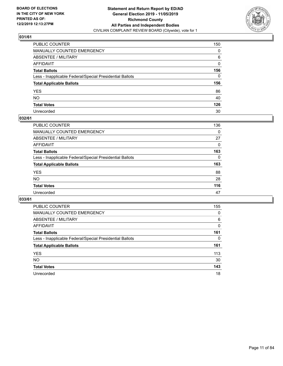

| PUBLIC COUNTER                                           | 150      |
|----------------------------------------------------------|----------|
| MANUALLY COUNTED EMERGENCY                               | 0        |
| ABSENTEE / MILITARY                                      | 6        |
| AFFIDAVIT                                                | 0        |
| Total Ballots                                            | 156      |
| Less - Inapplicable Federal/Special Presidential Ballots | $\Omega$ |
| <b>Total Applicable Ballots</b>                          | 156      |
| YES                                                      | 86       |
| NO.                                                      | 40       |
| <b>Total Votes</b>                                       | 126      |
| Unrecorded                                               | 30       |

## **032/61**

| <b>PUBLIC COUNTER</b>                                    | 136      |
|----------------------------------------------------------|----------|
| <b>MANUALLY COUNTED EMERGENCY</b>                        | 0        |
| ABSENTEE / MILITARY                                      | 27       |
| AFFIDAVIT                                                | 0        |
| <b>Total Ballots</b>                                     | 163      |
| Less - Inapplicable Federal/Special Presidential Ballots | $\Omega$ |
| <b>Total Applicable Ballots</b>                          | 163      |
| <b>YES</b>                                               | 88       |
| <b>NO</b>                                                | 28       |
| <b>Total Votes</b>                                       | 116      |
| Unrecorded                                               | 47       |

| <b>PUBLIC COUNTER</b>                                    | 155      |
|----------------------------------------------------------|----------|
| MANUALLY COUNTED EMERGENCY                               | 0        |
| ABSENTEE / MILITARY                                      | 6        |
| AFFIDAVIT                                                | $\Omega$ |
| <b>Total Ballots</b>                                     | 161      |
| Less - Inapplicable Federal/Special Presidential Ballots | $\Omega$ |
| <b>Total Applicable Ballots</b>                          | 161      |
| <b>YES</b>                                               | 113      |
| <b>NO</b>                                                | 30       |
| <b>Total Votes</b>                                       | 143      |
| Unrecorded                                               | 18       |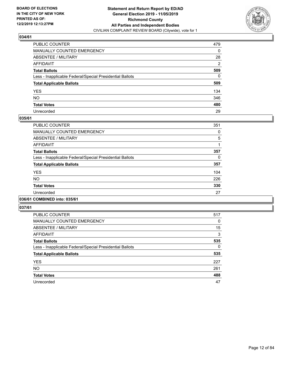

| PUBLIC COUNTER                                           | 479            |
|----------------------------------------------------------|----------------|
| MANUALLY COUNTED EMERGENCY                               | 0              |
| ABSENTEE / MILITARY                                      | 28             |
| AFFIDAVIT                                                | $\overline{2}$ |
| Total Ballots                                            | 509            |
| Less - Inapplicable Federal/Special Presidential Ballots | $\Omega$       |
| <b>Total Applicable Ballots</b>                          | 509            |
| YES                                                      | 134            |
| NO.                                                      | 346            |
| <b>Total Votes</b>                                       | 480            |
| Unrecorded                                               | 29             |

## **035/61**

| <b>PUBLIC COUNTER</b>                                    | 351 |
|----------------------------------------------------------|-----|
| <b>MANUALLY COUNTED EMERGENCY</b>                        | 0   |
| ABSENTEE / MILITARY                                      | 5   |
| <b>AFFIDAVIT</b>                                         |     |
| <b>Total Ballots</b>                                     | 357 |
| Less - Inapplicable Federal/Special Presidential Ballots | 0   |
| <b>Total Applicable Ballots</b>                          | 357 |
| <b>YES</b>                                               | 104 |
| NO                                                       | 226 |
| <b>Total Votes</b>                                       | 330 |
| Unrecorded                                               | 27  |
|                                                          |     |

## **036/61 COMBINED into: 035/61**

| <b>PUBLIC COUNTER</b>                                    | 517      |
|----------------------------------------------------------|----------|
| <b>MANUALLY COUNTED EMERGENCY</b>                        | 0        |
| ABSENTEE / MILITARY                                      | 15       |
| AFFIDAVIT                                                | 3        |
| <b>Total Ballots</b>                                     | 535      |
| Less - Inapplicable Federal/Special Presidential Ballots | $\Omega$ |
| <b>Total Applicable Ballots</b>                          | 535      |
| <b>YES</b>                                               | 227      |
| <b>NO</b>                                                | 261      |
| <b>Total Votes</b>                                       | 488      |
| Unrecorded                                               | 47       |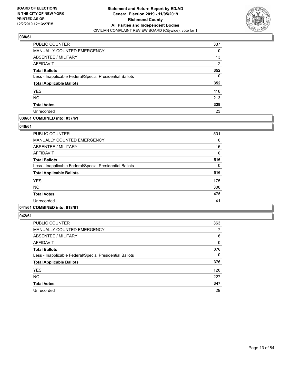

| PUBLIC COUNTER                                           | 337            |
|----------------------------------------------------------|----------------|
| MANUALLY COUNTED EMERGENCY                               | $\Omega$       |
| <b>ABSENTEE / MILITARY</b>                               | 13             |
| AFFIDAVIT                                                | $\overline{2}$ |
| <b>Total Ballots</b>                                     | 352            |
| Less - Inapplicable Federal/Special Presidential Ballots | 0              |
| <b>Total Applicable Ballots</b>                          | 352            |
| <b>YES</b>                                               | 116            |
| <b>NO</b>                                                | 213            |
| <b>Total Votes</b>                                       | 329            |
| Unrecorded                                               | 23             |

## **039/61 COMBINED into: 037/61**

#### **040/61**

| <b>PUBLIC COUNTER</b>                                    | 501 |
|----------------------------------------------------------|-----|
| <b>MANUALLY COUNTED EMERGENCY</b>                        | 0   |
| ABSENTEE / MILITARY                                      | 15  |
| AFFIDAVIT                                                | 0   |
| <b>Total Ballots</b>                                     | 516 |
| Less - Inapplicable Federal/Special Presidential Ballots | 0   |
| <b>Total Applicable Ballots</b>                          | 516 |
| <b>YES</b>                                               | 175 |
| <b>NO</b>                                                | 300 |
| <b>Total Votes</b>                                       | 475 |
| Unrecorded                                               | 41  |
|                                                          |     |

# **041/61 COMBINED into: 018/61**

| <b>PUBLIC COUNTER</b>                                    | 363      |
|----------------------------------------------------------|----------|
| <b>MANUALLY COUNTED EMERGENCY</b>                        | 7        |
| ABSENTEE / MILITARY                                      | 6        |
| AFFIDAVIT                                                | 0        |
| <b>Total Ballots</b>                                     | 376      |
| Less - Inapplicable Federal/Special Presidential Ballots | $\Omega$ |
| <b>Total Applicable Ballots</b>                          | 376      |
| <b>YES</b>                                               | 120      |
| <b>NO</b>                                                | 227      |
| <b>Total Votes</b>                                       | 347      |
| Unrecorded                                               | 29       |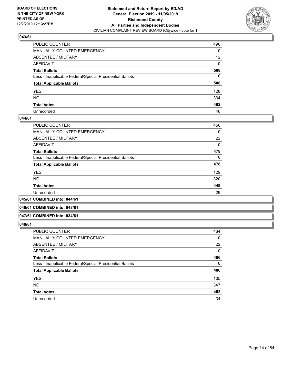

| PUBLIC COUNTER                                           | 496             |
|----------------------------------------------------------|-----------------|
| MANUALLY COUNTED EMERGENCY                               | 0               |
| ABSENTEE / MILITARY                                      | 12 <sup>2</sup> |
| AFFIDAVIT                                                | $\Omega$        |
| Total Ballots                                            | 508             |
| Less - Inapplicable Federal/Special Presidential Ballots | $\mathbf{0}$    |
| <b>Total Applicable Ballots</b>                          | 508             |
| YES                                                      | 128             |
| NO.                                                      | 334             |
| <b>Total Votes</b>                                       | 462             |
| Unrecorded                                               | 46              |

## **044/61**

| <b>PUBLIC COUNTER</b>                                    | 456      |
|----------------------------------------------------------|----------|
| <b>MANUALLY COUNTED EMERGENCY</b>                        | 0        |
| ABSENTEE / MILITARY                                      | 22       |
| AFFIDAVIT                                                | $\Omega$ |
| <b>Total Ballots</b>                                     | 478      |
| Less - Inapplicable Federal/Special Presidential Ballots | $\Omega$ |
| <b>Total Applicable Ballots</b>                          | 478      |
| <b>YES</b>                                               | 129      |
| <b>NO</b>                                                | 320      |
| <b>Total Votes</b>                                       | 449      |
| Unrecorded                                               | 29       |

#### **045/61 COMBINED into: 044/61**

#### **046/61 COMBINED into: 048/61**

#### **047/61 COMBINED into: 034/61**

| <b>PUBLIC COUNTER</b>                                    | 464 |
|----------------------------------------------------------|-----|
| <b>MANUALLY COUNTED EMERGENCY</b>                        | 0   |
| ABSENTEE / MILITARY                                      | 22  |
| AFFIDAVIT                                                | 0   |
| <b>Total Ballots</b>                                     | 486 |
| Less - Inapplicable Federal/Special Presidential Ballots | 0   |
| <b>Total Applicable Ballots</b>                          | 486 |
| <b>YES</b>                                               | 105 |
| <b>NO</b>                                                | 347 |
| <b>Total Votes</b>                                       | 452 |
| Unrecorded                                               | 34  |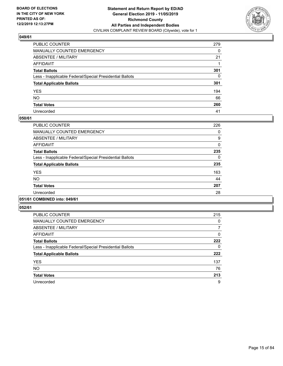

| PUBLIC COUNTER                                           | 279      |
|----------------------------------------------------------|----------|
| MANUALLY COUNTED EMERGENCY                               | $\Omega$ |
| ABSENTEE / MILITARY                                      | 21       |
| AFFIDAVIT                                                |          |
| Total Ballots                                            | 301      |
| Less - Inapplicable Federal/Special Presidential Ballots | 0        |
| <b>Total Applicable Ballots</b>                          | 301      |
| YES                                                      | 194      |
| NO.                                                      | 66       |
| <b>Total Votes</b>                                       | 260      |
| Unrecorded                                               | 41       |

## **050/61**

| <b>PUBLIC COUNTER</b>                                    | 226      |
|----------------------------------------------------------|----------|
| <b>MANUALLY COUNTED EMERGENCY</b>                        | 0        |
| ABSENTEE / MILITARY                                      | 9        |
| <b>AFFIDAVIT</b>                                         | $\Omega$ |
| <b>Total Ballots</b>                                     | 235      |
| Less - Inapplicable Federal/Special Presidential Ballots | 0        |
| <b>Total Applicable Ballots</b>                          | 235      |
| <b>YES</b>                                               | 163      |
| <b>NO</b>                                                | 44       |
| <b>Total Votes</b>                                       | 207      |
| Unrecorded                                               | 28       |
|                                                          |          |

## **051/61 COMBINED into: 049/61**

| <b>PUBLIC COUNTER</b>                                    | 215 |
|----------------------------------------------------------|-----|
| <b>MANUALLY COUNTED EMERGENCY</b>                        | 0   |
| ABSENTEE / MILITARY                                      | 7   |
| AFFIDAVIT                                                | 0   |
| <b>Total Ballots</b>                                     | 222 |
| Less - Inapplicable Federal/Special Presidential Ballots | 0   |
| <b>Total Applicable Ballots</b>                          | 222 |
| <b>YES</b>                                               | 137 |
| <b>NO</b>                                                | 76  |
| <b>Total Votes</b>                                       | 213 |
| Unrecorded                                               | 9   |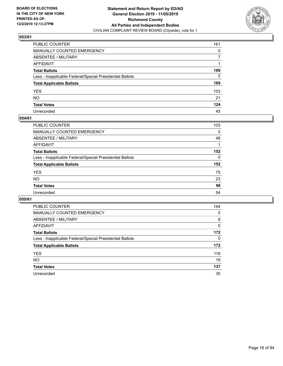

| PUBLIC COUNTER                                           | 161 |
|----------------------------------------------------------|-----|
| MANUALLY COUNTED EMERGENCY                               | 0   |
| ABSENTEE / MILITARY                                      | 7   |
| AFFIDAVIT                                                |     |
| Total Ballots                                            | 169 |
| Less - Inapplicable Federal/Special Presidential Ballots | 0   |
| <b>Total Applicable Ballots</b>                          | 169 |
| YES                                                      | 103 |
| NO.                                                      | 21  |
| <b>Total Votes</b>                                       | 124 |
| Unrecorded                                               | 45  |

## **054/61**

| PUBLIC COUNTER                                           | 103 |
|----------------------------------------------------------|-----|
| MANUALLY COUNTED EMERGENCY                               | 0   |
| ABSENTEE / MILITARY                                      | 48  |
| AFFIDAVIT                                                |     |
| <b>Total Ballots</b>                                     | 152 |
| Less - Inapplicable Federal/Special Presidential Ballots | 0   |
| <b>Total Applicable Ballots</b>                          | 152 |
| <b>YES</b>                                               | 75  |
| <b>NO</b>                                                | 23  |
| <b>Total Votes</b>                                       | 98  |
| Unrecorded                                               | 54  |

| <b>PUBLIC COUNTER</b>                                    | 164      |
|----------------------------------------------------------|----------|
| MANUALLY COUNTED EMERGENCY                               | 0        |
| ABSENTEE / MILITARY                                      | 8        |
| AFFIDAVIT                                                | 0        |
| <b>Total Ballots</b>                                     | 172      |
| Less - Inapplicable Federal/Special Presidential Ballots | $\Omega$ |
| <b>Total Applicable Ballots</b>                          | 172      |
| <b>YES</b>                                               | 118      |
| <b>NO</b>                                                | 19       |
| <b>Total Votes</b>                                       | 137      |
| Unrecorded                                               | 35       |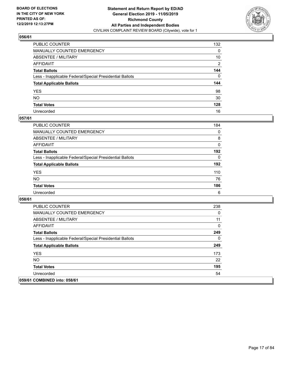

| PUBLIC COUNTER                                           | 132      |
|----------------------------------------------------------|----------|
| MANUALLY COUNTED EMERGENCY                               | 0        |
| ABSENTEE / MILITARY                                      | 10       |
| AFFIDAVIT                                                | 2        |
| Total Ballots                                            | 144      |
| Less - Inapplicable Federal/Special Presidential Ballots | $\Omega$ |
| <b>Total Applicable Ballots</b>                          | 144      |
| YES                                                      | 98       |
| NO.                                                      | 30       |
| <b>Total Votes</b>                                       | 128      |
| Unrecorded                                               | 16       |

## **057/61**

| <b>PUBLIC COUNTER</b>                                    | 184      |
|----------------------------------------------------------|----------|
| <b>MANUALLY COUNTED EMERGENCY</b>                        | $\Omega$ |
| ABSENTEE / MILITARY                                      | 8        |
| AFFIDAVIT                                                | $\Omega$ |
| <b>Total Ballots</b>                                     | 192      |
| Less - Inapplicable Federal/Special Presidential Ballots | $\Omega$ |
| <b>Total Applicable Ballots</b>                          | 192      |
| <b>YES</b>                                               | 110      |
| <b>NO</b>                                                | 76       |
| <b>Total Votes</b>                                       | 186      |
| Unrecorded                                               | 6        |

| <b>PUBLIC COUNTER</b>                                    | 238 |
|----------------------------------------------------------|-----|
| <b>MANUALLY COUNTED EMERGENCY</b>                        | 0   |
| ABSENTEE / MILITARY                                      | 11  |
| AFFIDAVIT                                                | 0   |
| <b>Total Ballots</b>                                     | 249 |
| Less - Inapplicable Federal/Special Presidential Ballots | 0   |
| <b>Total Applicable Ballots</b>                          | 249 |
| <b>YES</b>                                               | 173 |
| NO.                                                      | 22  |
| <b>Total Votes</b>                                       | 195 |
| Unrecorded                                               | 54  |
| 059/61 COMBINED into: 058/61                             |     |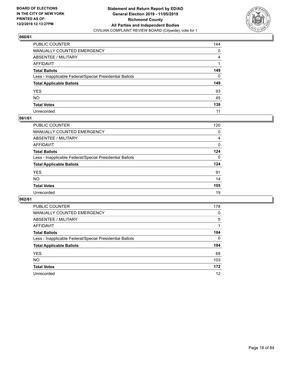

| PUBLIC COUNTER                                           | 144          |
|----------------------------------------------------------|--------------|
| MANUALLY COUNTED EMERGENCY                               | 0            |
| ABSENTEE / MILITARY                                      | 4            |
| AFFIDAVIT                                                |              |
| Total Ballots                                            | 149          |
| Less - Inapplicable Federal/Special Presidential Ballots | $\mathbf{0}$ |
| <b>Total Applicable Ballots</b>                          | 149          |
| YES                                                      | 93           |
| NO.                                                      | 45           |
| <b>Total Votes</b>                                       | 138          |
| Unrecorded                                               | 11           |

## **061/61**

| PUBLIC COUNTER                                           | 120      |
|----------------------------------------------------------|----------|
| MANUALLY COUNTED EMERGENCY                               | 0        |
| ABSENTEE / MILITARY                                      | 4        |
| AFFIDAVIT                                                | $\Omega$ |
| <b>Total Ballots</b>                                     | 124      |
| Less - Inapplicable Federal/Special Presidential Ballots | $\Omega$ |
| <b>Total Applicable Ballots</b>                          | 124      |
| <b>YES</b>                                               | 91       |
| <b>NO</b>                                                | 14       |
| <b>Total Votes</b>                                       | 105      |
| Unrecorded                                               | 19       |

| <b>PUBLIC COUNTER</b>                                    | 178 |
|----------------------------------------------------------|-----|
| MANUALLY COUNTED EMERGENCY                               | 0   |
| ABSENTEE / MILITARY                                      | 5   |
| AFFIDAVIT                                                |     |
| <b>Total Ballots</b>                                     | 184 |
| Less - Inapplicable Federal/Special Presidential Ballots | 0   |
| <b>Total Applicable Ballots</b>                          | 184 |
| <b>YES</b>                                               | 69  |
| NO.                                                      | 103 |
| <b>Total Votes</b>                                       | 172 |
| Unrecorded                                               | 12  |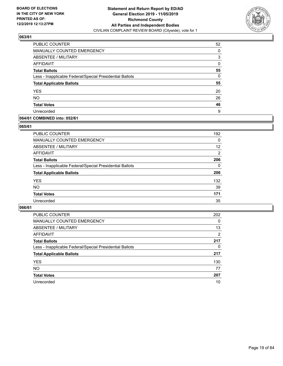

| PUBLIC COUNTER                                           | 52       |
|----------------------------------------------------------|----------|
| MANUALLY COUNTED EMERGENCY                               | 0        |
| ABSENTEE / MILITARY                                      | 3        |
| <b>AFFIDAVIT</b>                                         | 0        |
| <b>Total Ballots</b>                                     | 55       |
| Less - Inapplicable Federal/Special Presidential Ballots | $\Omega$ |
| <b>Total Applicable Ballots</b>                          | 55       |
| <b>YES</b>                                               | 20       |
| <b>NO</b>                                                | 26       |
| <b>Total Votes</b>                                       | 46       |
| Unrecorded                                               | 9        |

## **064/61 COMBINED into: 052/61**

#### **065/61**

| <b>PUBLIC COUNTER</b>                                    | 192            |
|----------------------------------------------------------|----------------|
| <b>MANUALLY COUNTED EMERGENCY</b>                        | $\Omega$       |
| ABSENTEE / MILITARY                                      | 12             |
| AFFIDAVIT                                                | $\overline{2}$ |
| <b>Total Ballots</b>                                     | 206            |
| Less - Inapplicable Federal/Special Presidential Ballots | 0              |
| <b>Total Applicable Ballots</b>                          | 206            |
| <b>YES</b>                                               | 132            |
| <b>NO</b>                                                | 39             |
| <b>Total Votes</b>                                       | 171            |
| Unrecorded                                               | 35             |

| <b>PUBLIC COUNTER</b>                                    | 202      |
|----------------------------------------------------------|----------|
| MANUALLY COUNTED EMERGENCY                               | $\Omega$ |
| ABSENTEE / MILITARY                                      | 13       |
| AFFIDAVIT                                                | 2        |
| <b>Total Ballots</b>                                     | 217      |
| Less - Inapplicable Federal/Special Presidential Ballots | 0        |
| <b>Total Applicable Ballots</b>                          | 217      |
| <b>YES</b>                                               | 130      |
| <b>NO</b>                                                | 77       |
| <b>Total Votes</b>                                       | 207      |
| Unrecorded                                               | 10       |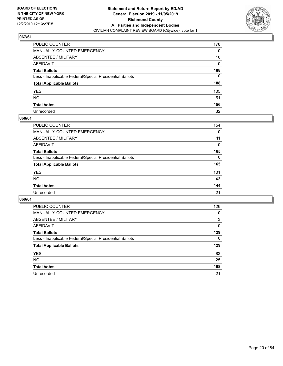

| PUBLIC COUNTER                                           | 178      |
|----------------------------------------------------------|----------|
| MANUALLY COUNTED EMERGENCY                               | 0        |
| ABSENTEE / MILITARY                                      | 10       |
| AFFIDAVIT                                                | $\Omega$ |
| Total Ballots                                            | 188      |
| Less - Inapplicable Federal/Special Presidential Ballots | 0        |
| <b>Total Applicable Ballots</b>                          | 188      |
| YES                                                      | 105      |
| NO.                                                      | 51       |
| <b>Total Votes</b>                                       | 156      |
| Unrecorded                                               | 32       |

## **068/61**

| <b>PUBLIC COUNTER</b>                                    | 154      |
|----------------------------------------------------------|----------|
| <b>MANUALLY COUNTED EMERGENCY</b>                        | 0        |
| ABSENTEE / MILITARY                                      | 11       |
| AFFIDAVIT                                                | 0        |
| <b>Total Ballots</b>                                     | 165      |
| Less - Inapplicable Federal/Special Presidential Ballots | $\Omega$ |
| <b>Total Applicable Ballots</b>                          | 165      |
| <b>YES</b>                                               | 101      |
| <b>NO</b>                                                | 43       |
| <b>Total Votes</b>                                       | 144      |
| Unrecorded                                               | 21       |

| <b>PUBLIC COUNTER</b>                                    | 126      |
|----------------------------------------------------------|----------|
| MANUALLY COUNTED EMERGENCY                               | 0        |
| ABSENTEE / MILITARY                                      | 3        |
| AFFIDAVIT                                                | $\Omega$ |
| <b>Total Ballots</b>                                     | 129      |
| Less - Inapplicable Federal/Special Presidential Ballots | $\Omega$ |
| <b>Total Applicable Ballots</b>                          | 129      |
| <b>YES</b>                                               | 83       |
| <b>NO</b>                                                | 25       |
| <b>Total Votes</b>                                       | 108      |
| Unrecorded                                               | 21       |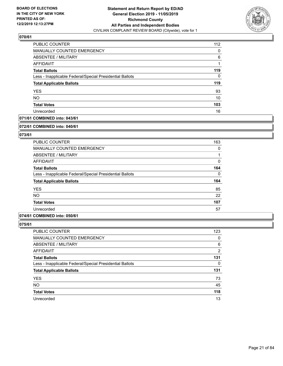

| PUBLIC COUNTER                                           | 112 |
|----------------------------------------------------------|-----|
| <b>MANUALLY COUNTED EMERGENCY</b>                        | 0   |
| ABSENTEE / MILITARY                                      | 6   |
| AFFIDAVIT                                                |     |
| <b>Total Ballots</b>                                     | 119 |
| Less - Inapplicable Federal/Special Presidential Ballots | 0   |
| <b>Total Applicable Ballots</b>                          | 119 |
| <b>YES</b>                                               | 93  |
| <b>NO</b>                                                | 10  |
| <b>Total Votes</b>                                       | 103 |
| Unrecorded                                               | 16  |

## **071/61 COMBINED into: 043/61**

#### **072/61 COMBINED into: 040/61**

## **073/61**

| PUBLIC COUNTER                                           | 163      |
|----------------------------------------------------------|----------|
| <b>MANUALLY COUNTED EMERGENCY</b>                        | 0        |
| ABSENTEE / MILITARY                                      |          |
| AFFIDAVIT                                                | 0        |
| <b>Total Ballots</b>                                     | 164      |
| Less - Inapplicable Federal/Special Presidential Ballots | $\Omega$ |
| <b>Total Applicable Ballots</b>                          | 164      |
| <b>YES</b>                                               | 85       |
| <b>NO</b>                                                | 22       |
| <b>Total Votes</b>                                       | 107      |
| Unrecorded                                               | 57       |

#### **074/61 COMBINED into: 050/61**

| <b>PUBLIC COUNTER</b>                                    | 123 |
|----------------------------------------------------------|-----|
| MANUALLY COUNTED EMERGENCY                               | 0   |
| <b>ABSENTEE / MILITARY</b>                               | 6   |
| AFFIDAVIT                                                | 2   |
| <b>Total Ballots</b>                                     | 131 |
| Less - Inapplicable Federal/Special Presidential Ballots | 0   |
| <b>Total Applicable Ballots</b>                          | 131 |
| <b>YES</b>                                               | 73  |
| <b>NO</b>                                                | 45  |
| <b>Total Votes</b>                                       | 118 |
| Unrecorded                                               | 13  |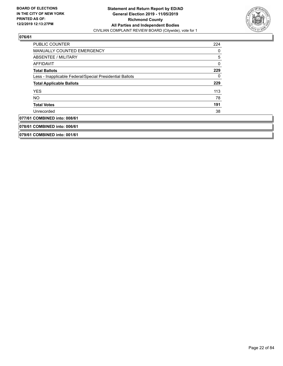

| <b>PUBLIC COUNTER</b>                                    | 224 |
|----------------------------------------------------------|-----|
| MANUALLY COUNTED EMERGENCY                               | 0   |
| ABSENTEE / MILITARY                                      | 5   |
| <b>AFFIDAVIT</b>                                         | 0   |
| <b>Total Ballots</b>                                     | 229 |
| Less - Inapplicable Federal/Special Presidential Ballots | 0   |
| <b>Total Applicable Ballots</b>                          | 229 |
| <b>YES</b>                                               | 113 |
| <b>NO</b>                                                | 78  |
| <b>Total Votes</b>                                       | 191 |
| Unrecorded                                               | 38  |
| 077/61 COMBINED into: 008/61                             |     |
| 078/61 COMBINED into: 006/61                             |     |
| 079/61 COMBINED into: 001/61                             |     |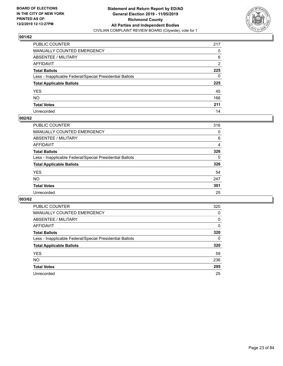

| PUBLIC COUNTER                                           | 217 |
|----------------------------------------------------------|-----|
| MANUALLY COUNTED EMERGENCY                               | 0   |
| ABSENTEE / MILITARY                                      | 6   |
| AFFIDAVIT                                                | 2   |
| Total Ballots                                            | 225 |
| Less - Inapplicable Federal/Special Presidential Ballots | 0   |
| <b>Total Applicable Ballots</b>                          | 225 |
| YES                                                      | 45  |
| NO.                                                      | 166 |
| <b>Total Votes</b>                                       | 211 |
| Unrecorded                                               | 14  |

#### **002/62**

| PUBLIC COUNTER                                           | 316      |
|----------------------------------------------------------|----------|
| MANUALLY COUNTED EMERGENCY                               | 0        |
| ABSENTEE / MILITARY                                      | 6        |
| AFFIDAVIT                                                | 4        |
| <b>Total Ballots</b>                                     | 326      |
| Less - Inapplicable Federal/Special Presidential Ballots | $\Omega$ |
| <b>Total Applicable Ballots</b>                          | 326      |
| <b>YES</b>                                               | 54       |
| <b>NO</b>                                                | 247      |
| <b>Total Votes</b>                                       | 301      |
| Unrecorded                                               | 25       |

| <b>PUBLIC COUNTER</b>                                    | 320 |
|----------------------------------------------------------|-----|
| <b>MANUALLY COUNTED EMERGENCY</b>                        | 0   |
| ABSENTEE / MILITARY                                      | 0   |
| AFFIDAVIT                                                | 0   |
| <b>Total Ballots</b>                                     | 320 |
| Less - Inapplicable Federal/Special Presidential Ballots | 0   |
| <b>Total Applicable Ballots</b>                          | 320 |
| <b>YES</b>                                               | 59  |
| NO.                                                      | 236 |
| <b>Total Votes</b>                                       | 295 |
| Unrecorded                                               | 25  |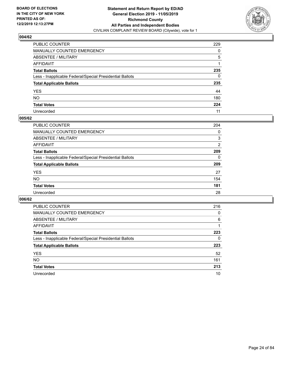

| PUBLIC COUNTER                                           | 229 |
|----------------------------------------------------------|-----|
| MANUALLY COUNTED EMERGENCY                               | 0   |
| ABSENTEE / MILITARY                                      | 5   |
| AFFIDAVIT                                                |     |
| Total Ballots                                            | 235 |
| Less - Inapplicable Federal/Special Presidential Ballots | 0   |
| <b>Total Applicable Ballots</b>                          | 235 |
| YES                                                      | 44  |
| NO.                                                      | 180 |
| <b>Total Votes</b>                                       | 224 |
| Unrecorded                                               | 11  |

#### **005/62**

| PUBLIC COUNTER                                           | 204 |
|----------------------------------------------------------|-----|
| <b>MANUALLY COUNTED EMERGENCY</b>                        | 0   |
| ABSENTEE / MILITARY                                      | 3   |
| AFFIDAVIT                                                | 2   |
| <b>Total Ballots</b>                                     | 209 |
| Less - Inapplicable Federal/Special Presidential Ballots | 0   |
| <b>Total Applicable Ballots</b>                          | 209 |
| <b>YES</b>                                               | 27  |
| <b>NO</b>                                                | 154 |
| <b>Total Votes</b>                                       | 181 |
| Unrecorded                                               | 28  |

| <b>PUBLIC COUNTER</b>                                    | 216 |
|----------------------------------------------------------|-----|
| MANUALLY COUNTED EMERGENCY                               | 0   |
| ABSENTEE / MILITARY                                      | 6   |
| AFFIDAVIT                                                |     |
| <b>Total Ballots</b>                                     | 223 |
| Less - Inapplicable Federal/Special Presidential Ballots | 0   |
| <b>Total Applicable Ballots</b>                          | 223 |
| <b>YES</b>                                               | 52  |
| NO.                                                      | 161 |
| <b>Total Votes</b>                                       | 213 |
| Unrecorded                                               | 10  |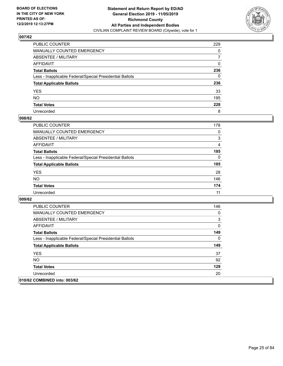

| PUBLIC COUNTER                                           | 229 |
|----------------------------------------------------------|-----|
| MANUALLY COUNTED EMERGENCY                               | 0   |
| ABSENTEE / MILITARY                                      | 7   |
| AFFIDAVIT                                                | 0   |
| Total Ballots                                            | 236 |
| Less - Inapplicable Federal/Special Presidential Ballots | 0   |
| <b>Total Applicable Ballots</b>                          | 236 |
| YES                                                      | 33  |
| NO.                                                      | 195 |
| <b>Total Votes</b>                                       | 228 |
| Unrecorded                                               | 8   |

#### **008/62**

| <b>PUBLIC COUNTER</b>                                    | 178      |
|----------------------------------------------------------|----------|
| <b>MANUALLY COUNTED EMERGENCY</b>                        | $\Omega$ |
| ABSENTEE / MILITARY                                      | 3        |
| AFFIDAVIT                                                | 4        |
| <b>Total Ballots</b>                                     | 185      |
| Less - Inapplicable Federal/Special Presidential Ballots | $\Omega$ |
| <b>Total Applicable Ballots</b>                          | 185      |
| <b>YES</b>                                               | 28       |
| <b>NO</b>                                                | 146      |
| <b>Total Votes</b>                                       | 174      |
| Unrecorded                                               | 11       |

| <b>PUBLIC COUNTER</b>                                    | 146 |
|----------------------------------------------------------|-----|
| <b>MANUALLY COUNTED EMERGENCY</b>                        | 0   |
| ABSENTEE / MILITARY                                      | 3   |
| AFFIDAVIT                                                | 0   |
| <b>Total Ballots</b>                                     | 149 |
| Less - Inapplicable Federal/Special Presidential Ballots | 0   |
| <b>Total Applicable Ballots</b>                          | 149 |
| <b>YES</b>                                               | 37  |
| NO.                                                      | 92  |
| <b>Total Votes</b>                                       | 129 |
| Unrecorded                                               | 20  |
| 010/62 COMBINED into: 003/62                             |     |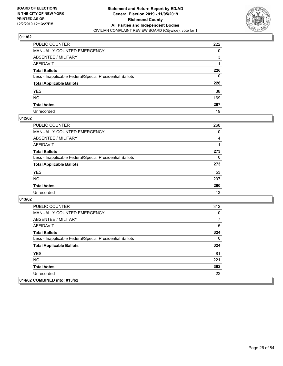

| PUBLIC COUNTER                                           | 222          |
|----------------------------------------------------------|--------------|
| MANUALLY COUNTED EMERGENCY                               | 0            |
| ABSENTEE / MILITARY                                      | 3            |
| AFFIDAVIT                                                |              |
| Total Ballots                                            | 226          |
| Less - Inapplicable Federal/Special Presidential Ballots | $\mathbf{0}$ |
| <b>Total Applicable Ballots</b>                          | 226          |
| YES                                                      | 38           |
| NO.                                                      | 169          |
| <b>Total Votes</b>                                       | 207          |
| Unrecorded                                               | 19           |

## **012/62**

| <b>PUBLIC COUNTER</b>                                    | 268      |
|----------------------------------------------------------|----------|
| <b>MANUALLY COUNTED EMERGENCY</b>                        | $\Omega$ |
| ABSENTEE / MILITARY                                      | 4        |
| AFFIDAVIT                                                |          |
| <b>Total Ballots</b>                                     | 273      |
| Less - Inapplicable Federal/Special Presidential Ballots | $\Omega$ |
| <b>Total Applicable Ballots</b>                          | 273      |
| <b>YES</b>                                               | 53       |
| <b>NO</b>                                                | 207      |
| <b>Total Votes</b>                                       | 260      |
| Unrecorded                                               | 13       |

| <b>PUBLIC COUNTER</b>                                    | 312 |
|----------------------------------------------------------|-----|
| <b>MANUALLY COUNTED EMERGENCY</b>                        | 0   |
| ABSENTEE / MILITARY                                      | 7   |
| AFFIDAVIT                                                | 5   |
| <b>Total Ballots</b>                                     | 324 |
| Less - Inapplicable Federal/Special Presidential Ballots | 0   |
| <b>Total Applicable Ballots</b>                          | 324 |
| <b>YES</b>                                               | 81  |
| <b>NO</b>                                                | 221 |
| <b>Total Votes</b>                                       | 302 |
| Unrecorded                                               | 22  |
| 014/62 COMBINED into: 013/62                             |     |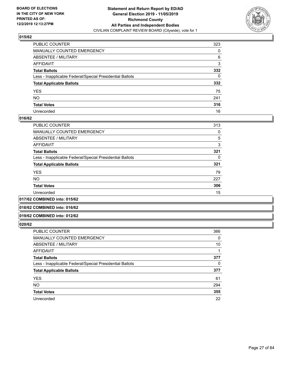

| PUBLIC COUNTER                                           | 323      |
|----------------------------------------------------------|----------|
| MANUALLY COUNTED EMERGENCY                               | 0        |
| ABSENTEE / MILITARY                                      | 6        |
| AFFIDAVIT                                                | 3        |
| Total Ballots                                            | 332      |
| Less - Inapplicable Federal/Special Presidential Ballots | $\Omega$ |
| <b>Total Applicable Ballots</b>                          | 332      |
| YES                                                      | 75       |
| NO.                                                      | 241      |
| <b>Total Votes</b>                                       | 316      |
| Unrecorded                                               | 16       |

#### **016/62**

| PUBLIC COUNTER                                           | 313 |
|----------------------------------------------------------|-----|
| <b>MANUALLY COUNTED EMERGENCY</b>                        | 0   |
| ABSENTEE / MILITARY                                      | 5   |
| <b>AFFIDAVIT</b>                                         | 3   |
| <b>Total Ballots</b>                                     | 321 |
| Less - Inapplicable Federal/Special Presidential Ballots | 0   |
| <b>Total Applicable Ballots</b>                          | 321 |
| <b>YES</b>                                               | 79  |
| <b>NO</b>                                                | 227 |
| <b>Total Votes</b>                                       | 306 |
| Unrecorded                                               | 15  |
|                                                          |     |

## **017/62 COMBINED into: 015/62**

#### **018/62 COMBINED into: 016/62**

#### **019/62 COMBINED into: 012/62**

| <b>PUBLIC COUNTER</b>                                    | 366 |
|----------------------------------------------------------|-----|
| <b>MANUALLY COUNTED EMERGENCY</b>                        | 0   |
| ABSENTEE / MILITARY                                      | 10  |
| AFFIDAVIT                                                |     |
| <b>Total Ballots</b>                                     | 377 |
| Less - Inapplicable Federal/Special Presidential Ballots | 0   |
| <b>Total Applicable Ballots</b>                          | 377 |
| <b>YES</b>                                               | 61  |
| <b>NO</b>                                                | 294 |
| <b>Total Votes</b>                                       | 355 |
| Unrecorded                                               | 22  |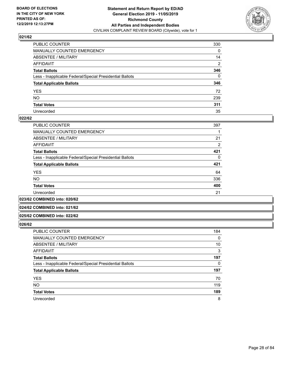

| PUBLIC COUNTER                                           | 330      |
|----------------------------------------------------------|----------|
| MANUALLY COUNTED EMERGENCY                               | 0        |
| ABSENTEE / MILITARY                                      | 14       |
| AFFIDAVIT                                                | 2        |
| Total Ballots                                            | 346      |
| Less - Inapplicable Federal/Special Presidential Ballots | $\Omega$ |
| <b>Total Applicable Ballots</b>                          | 346      |
| YES                                                      | 72       |
| NO.                                                      | 239      |
| <b>Total Votes</b>                                       | 311      |
| Unrecorded                                               | 35       |

#### **022/62**

| <b>PUBLIC COUNTER</b>                                    | 397            |
|----------------------------------------------------------|----------------|
| MANUALLY COUNTED EMERGENCY                               |                |
| ABSENTEE / MILITARY                                      | 21             |
| AFFIDAVIT                                                | $\overline{2}$ |
| <b>Total Ballots</b>                                     | 421            |
| Less - Inapplicable Federal/Special Presidential Ballots | 0              |
| <b>Total Applicable Ballots</b>                          | 421            |
| <b>YES</b>                                               | 64             |
| <b>NO</b>                                                | 336            |
| <b>Total Votes</b>                                       | 400            |
| Unrecorded                                               | 21             |
|                                                          |                |

**023/62 COMBINED into: 020/62**

#### **024/62 COMBINED into: 021/62**

## **025/62 COMBINED into: 022/62**

| <b>PUBLIC COUNTER</b>                                    | 184      |
|----------------------------------------------------------|----------|
| MANUALLY COUNTED EMERGENCY                               | $\Omega$ |
| ABSENTEE / MILITARY                                      | 10       |
| AFFIDAVIT                                                | 3        |
| <b>Total Ballots</b>                                     | 197      |
| Less - Inapplicable Federal/Special Presidential Ballots | 0        |
| <b>Total Applicable Ballots</b>                          | 197      |
| <b>YES</b>                                               | 70       |
| <b>NO</b>                                                | 119      |
| <b>Total Votes</b>                                       | 189      |
| Unrecorded                                               | 8        |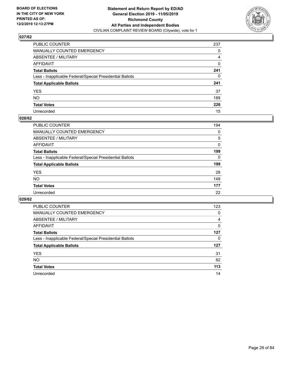

| PUBLIC COUNTER                                           | 237 |
|----------------------------------------------------------|-----|
| MANUALLY COUNTED EMERGENCY                               | 0   |
| ABSENTEE / MILITARY                                      | 4   |
| AFFIDAVIT                                                | 0   |
| Total Ballots                                            | 241 |
| Less - Inapplicable Federal/Special Presidential Ballots | 0   |
| <b>Total Applicable Ballots</b>                          | 241 |
| YES                                                      | 37  |
| NO.                                                      | 189 |
| <b>Total Votes</b>                                       | 226 |
| Unrecorded                                               | 15  |

#### **028/62**

| PUBLIC COUNTER                                           | 194      |
|----------------------------------------------------------|----------|
| MANUALLY COUNTED EMERGENCY                               | 0        |
| ABSENTEE / MILITARY                                      | 5        |
| AFFIDAVIT                                                | $\Omega$ |
| <b>Total Ballots</b>                                     | 199      |
| Less - Inapplicable Federal/Special Presidential Ballots | $\Omega$ |
| <b>Total Applicable Ballots</b>                          | 199      |
| <b>YES</b>                                               | 28       |
| <b>NO</b>                                                | 149      |
| <b>Total Votes</b>                                       | 177      |
| Unrecorded                                               | 22       |

| <b>PUBLIC COUNTER</b>                                    | 123 |
|----------------------------------------------------------|-----|
| MANUALLY COUNTED EMERGENCY                               | 0   |
| ABSENTEE / MILITARY                                      | 4   |
| AFFIDAVIT                                                | 0   |
| <b>Total Ballots</b>                                     | 127 |
| Less - Inapplicable Federal/Special Presidential Ballots | 0   |
| <b>Total Applicable Ballots</b>                          | 127 |
| <b>YES</b>                                               | 31  |
| NO.                                                      | 82  |
| <b>Total Votes</b>                                       | 113 |
| Unrecorded                                               | 14  |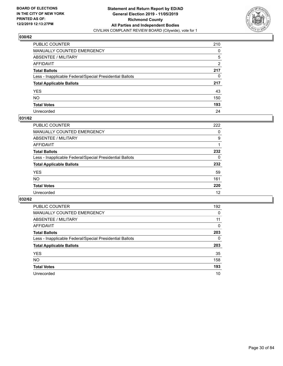

| PUBLIC COUNTER                                           | 210 |
|----------------------------------------------------------|-----|
| MANUALLY COUNTED EMERGENCY                               | 0   |
| ABSENTEE / MILITARY                                      | 5   |
| AFFIDAVIT                                                | 2   |
| Total Ballots                                            | 217 |
| Less - Inapplicable Federal/Special Presidential Ballots | 0   |
| <b>Total Applicable Ballots</b>                          | 217 |
| YES                                                      | 43  |
| NO.                                                      | 150 |
| <b>Total Votes</b>                                       | 193 |
| Unrecorded                                               | 24  |

## **031/62**

| PUBLIC COUNTER                                           | 222      |
|----------------------------------------------------------|----------|
| MANUALLY COUNTED EMERGENCY                               | 0        |
| ABSENTEE / MILITARY                                      | 9        |
| AFFIDAVIT                                                |          |
| <b>Total Ballots</b>                                     | 232      |
| Less - Inapplicable Federal/Special Presidential Ballots | $\Omega$ |
| <b>Total Applicable Ballots</b>                          | 232      |
| <b>YES</b>                                               | 59       |
| <b>NO</b>                                                | 161      |
| <b>Total Votes</b>                                       | 220      |
| Unrecorded                                               | 12       |

| <b>PUBLIC COUNTER</b>                                    | 192      |
|----------------------------------------------------------|----------|
| MANUALLY COUNTED EMERGENCY                               | 0        |
| ABSENTEE / MILITARY                                      | 11       |
| AFFIDAVIT                                                | $\Omega$ |
| <b>Total Ballots</b>                                     | 203      |
| Less - Inapplicable Federal/Special Presidential Ballots | 0        |
| <b>Total Applicable Ballots</b>                          | 203      |
| <b>YES</b>                                               | 35       |
| <b>NO</b>                                                | 158      |
| <b>Total Votes</b>                                       | 193      |
| Unrecorded                                               | 10       |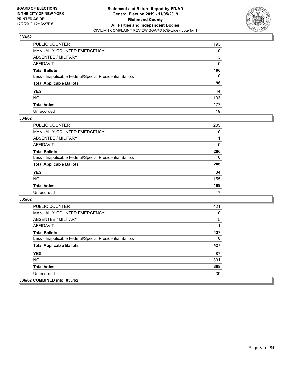

| PUBLIC COUNTER                                           | 193          |
|----------------------------------------------------------|--------------|
| MANUALLY COUNTED EMERGENCY                               | 0            |
| ABSENTEE / MILITARY                                      | 3            |
| AFFIDAVIT                                                | $\Omega$     |
| Total Ballots                                            | 196          |
| Less - Inapplicable Federal/Special Presidential Ballots | $\mathbf{0}$ |
| <b>Total Applicable Ballots</b>                          | 196          |
| YES                                                      | 44           |
| NO.                                                      | 133          |
| <b>Total Votes</b>                                       | 177          |
| Unrecorded                                               | 19           |

## **034/62**

| <b>PUBLIC COUNTER</b>                                    | 205      |
|----------------------------------------------------------|----------|
| <b>MANUALLY COUNTED EMERGENCY</b>                        | 0        |
| ABSENTEE / MILITARY                                      |          |
| AFFIDAVIT                                                | $\Omega$ |
| <b>Total Ballots</b>                                     | 206      |
| Less - Inapplicable Federal/Special Presidential Ballots | $\Omega$ |
| <b>Total Applicable Ballots</b>                          | 206      |
| <b>YES</b>                                               | 34       |
| <b>NO</b>                                                | 155      |
| <b>Total Votes</b>                                       | 189      |
| Unrecorded                                               | 17       |

| <b>PUBLIC COUNTER</b>                                    | 421 |
|----------------------------------------------------------|-----|
| <b>MANUALLY COUNTED EMERGENCY</b>                        | 0   |
| ABSENTEE / MILITARY                                      | 5   |
| AFFIDAVIT                                                | 1   |
| <b>Total Ballots</b>                                     | 427 |
| Less - Inapplicable Federal/Special Presidential Ballots | 0   |
| <b>Total Applicable Ballots</b>                          | 427 |
| <b>YES</b>                                               | 87  |
| NO.                                                      | 301 |
| <b>Total Votes</b>                                       | 388 |
| Unrecorded                                               | 39  |
| 036/62 COMBINED into: 035/62                             |     |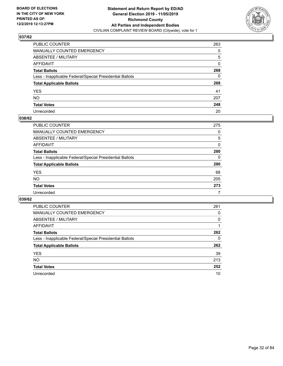

| PUBLIC COUNTER                                           | 263 |
|----------------------------------------------------------|-----|
| MANUALLY COUNTED EMERGENCY                               | 0   |
| ABSENTEE / MILITARY                                      | 5   |
| AFFIDAVIT                                                | 0   |
| Total Ballots                                            | 268 |
| Less - Inapplicable Federal/Special Presidential Ballots | 0   |
| <b>Total Applicable Ballots</b>                          | 268 |
| YES                                                      | 41  |
| NO.                                                      | 207 |
| <b>Total Votes</b>                                       | 248 |
| Unrecorded                                               | 20  |

#### **038/62**

| <b>PUBLIC COUNTER</b>                                    | 275      |
|----------------------------------------------------------|----------|
| <b>MANUALLY COUNTED EMERGENCY</b>                        | 0        |
| ABSENTEE / MILITARY                                      | 5        |
| AFFIDAVIT                                                | $\Omega$ |
| <b>Total Ballots</b>                                     | 280      |
| Less - Inapplicable Federal/Special Presidential Ballots | $\Omega$ |
| <b>Total Applicable Ballots</b>                          | 280      |
| <b>YES</b>                                               | 68       |
| <b>NO</b>                                                | 205      |
| <b>Total Votes</b>                                       | 273      |
| Unrecorded                                               |          |

| <b>PUBLIC COUNTER</b>                                    | 261      |
|----------------------------------------------------------|----------|
| MANUALLY COUNTED EMERGENCY                               | 0        |
| ABSENTEE / MILITARY                                      | $\Omega$ |
| AFFIDAVIT                                                |          |
| <b>Total Ballots</b>                                     | 262      |
| Less - Inapplicable Federal/Special Presidential Ballots | 0        |
| <b>Total Applicable Ballots</b>                          | 262      |
| <b>YES</b>                                               | 39       |
| NO.                                                      | 213      |
| <b>Total Votes</b>                                       | 252      |
| Unrecorded                                               | 10       |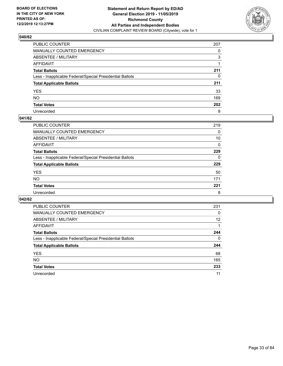

| PUBLIC COUNTER                                           | 207 |
|----------------------------------------------------------|-----|
| MANUALLY COUNTED EMERGENCY                               | 0   |
| ABSENTEE / MILITARY                                      | 3   |
| AFFIDAVIT                                                |     |
| Total Ballots                                            | 211 |
| Less - Inapplicable Federal/Special Presidential Ballots | 0   |
| <b>Total Applicable Ballots</b>                          | 211 |
| YES                                                      | 33  |
| NO.                                                      | 169 |
| <b>Total Votes</b>                                       | 202 |
| Unrecorded                                               | 9   |

#### **041/62**

| PUBLIC COUNTER                                           | 219      |
|----------------------------------------------------------|----------|
| MANUALLY COUNTED EMERGENCY                               | 0        |
| ABSENTEE / MILITARY                                      | 10       |
| AFFIDAVIT                                                | 0        |
| <b>Total Ballots</b>                                     | 229      |
| Less - Inapplicable Federal/Special Presidential Ballots | $\Omega$ |
| <b>Total Applicable Ballots</b>                          | 229      |
| <b>YES</b>                                               | 50       |
| <b>NO</b>                                                | 171      |
| <b>Total Votes</b>                                       | 221      |
| Unrecorded                                               | 8        |

| <b>PUBLIC COUNTER</b>                                    | 231      |
|----------------------------------------------------------|----------|
| MANUALLY COUNTED EMERGENCY                               | 0        |
| ABSENTEE / MILITARY                                      | 12       |
| AFFIDAVIT                                                |          |
| <b>Total Ballots</b>                                     | 244      |
| Less - Inapplicable Federal/Special Presidential Ballots | $\Omega$ |
| <b>Total Applicable Ballots</b>                          | 244      |
| <b>YES</b>                                               | 68       |
| <b>NO</b>                                                | 165      |
| <b>Total Votes</b>                                       | 233      |
| Unrecorded                                               | 11       |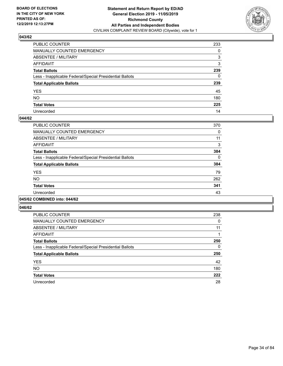

| PUBLIC COUNTER                                           | 233 |
|----------------------------------------------------------|-----|
| MANUALLY COUNTED EMERGENCY                               | 0   |
| ABSENTEE / MILITARY                                      | 3   |
| AFFIDAVIT                                                | 3   |
| Total Ballots                                            | 239 |
| Less - Inapplicable Federal/Special Presidential Ballots | 0   |
| <b>Total Applicable Ballots</b>                          | 239 |
| YES                                                      | 45  |
| NO.                                                      | 180 |
| <b>Total Votes</b>                                       | 225 |
| Unrecorded                                               | 14  |

## **044/62**

| <b>PUBLIC COUNTER</b>                                    | 370      |
|----------------------------------------------------------|----------|
| <b>MANUALLY COUNTED EMERGENCY</b>                        | 0        |
| ABSENTEE / MILITARY                                      | 11       |
| <b>AFFIDAVIT</b>                                         | 3        |
| <b>Total Ballots</b>                                     | 384      |
| Less - Inapplicable Federal/Special Presidential Ballots | $\Omega$ |
| <b>Total Applicable Ballots</b>                          | 384      |
| <b>YES</b>                                               | 79       |
| <b>NO</b>                                                | 262      |
| <b>Total Votes</b>                                       | 341      |
| Unrecorded                                               | 43       |
|                                                          |          |

#### **045/62 COMBINED into: 044/62**

| <b>PUBLIC COUNTER</b>                                    | 238 |
|----------------------------------------------------------|-----|
| MANUALLY COUNTED EMERGENCY                               | 0   |
| ABSENTEE / MILITARY                                      | 11  |
| AFFIDAVIT                                                |     |
| <b>Total Ballots</b>                                     | 250 |
| Less - Inapplicable Federal/Special Presidential Ballots | 0   |
| <b>Total Applicable Ballots</b>                          | 250 |
| <b>YES</b>                                               | 42  |
| <b>NO</b>                                                | 180 |
| <b>Total Votes</b>                                       | 222 |
| Unrecorded                                               | 28  |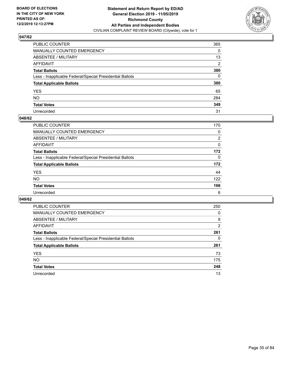

| PUBLIC COUNTER                                           | 365            |
|----------------------------------------------------------|----------------|
| MANUALLY COUNTED EMERGENCY                               | 0              |
| ABSENTEE / MILITARY                                      | 13             |
| AFFIDAVIT                                                | $\overline{2}$ |
| Total Ballots                                            | 380            |
| Less - Inapplicable Federal/Special Presidential Ballots | $\mathbf{0}$   |
| <b>Total Applicable Ballots</b>                          | 380            |
| YES                                                      | 65             |
| NO.                                                      | 284            |
| <b>Total Votes</b>                                       | 349            |
| Unrecorded                                               | 31             |

#### **048/62**

| PUBLIC COUNTER                                           | 170            |
|----------------------------------------------------------|----------------|
| MANUALLY COUNTED EMERGENCY                               | $\Omega$       |
| ABSENTEE / MILITARY                                      | $\overline{2}$ |
| AFFIDAVIT                                                | 0              |
| <b>Total Ballots</b>                                     | 172            |
| Less - Inapplicable Federal/Special Presidential Ballots | $\Omega$       |
| <b>Total Applicable Ballots</b>                          | 172            |
| <b>YES</b>                                               | 44             |
| <b>NO</b>                                                | 122            |
| <b>Total Votes</b>                                       | 166            |
| Unrecorded                                               | 6              |

| <b>PUBLIC COUNTER</b>                                    | 250      |
|----------------------------------------------------------|----------|
| MANUALLY COUNTED EMERGENCY                               | $\Omega$ |
| ABSENTEE / MILITARY                                      | 9        |
| AFFIDAVIT                                                | 2        |
| <b>Total Ballots</b>                                     | 261      |
| Less - Inapplicable Federal/Special Presidential Ballots | 0        |
| <b>Total Applicable Ballots</b>                          | 261      |
| <b>YES</b>                                               | 73       |
| NO.                                                      | 175      |
| <b>Total Votes</b>                                       | 248      |
| Unrecorded                                               | 13       |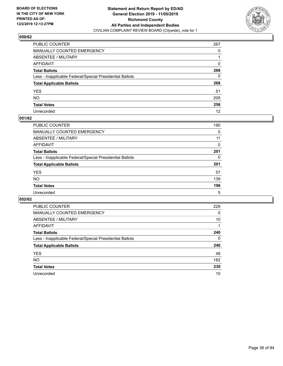

| PUBLIC COUNTER                                           | 267          |
|----------------------------------------------------------|--------------|
| MANUALLY COUNTED EMERGENCY                               | $\Omega$     |
| ABSENTEE / MILITARY                                      |              |
| AFFIDAVIT                                                | $\Omega$     |
| Total Ballots                                            | 268          |
| Less - Inapplicable Federal/Special Presidential Ballots | $\mathbf{0}$ |
| <b>Total Applicable Ballots</b>                          | 268          |
| YES                                                      | 51           |
| NO.                                                      | 205          |
| <b>Total Votes</b>                                       | 256          |
| Unrecorded                                               | 12           |

## **051/62**

| <b>PUBLIC COUNTER</b>                                    | 190      |
|----------------------------------------------------------|----------|
| <b>MANUALLY COUNTED EMERGENCY</b>                        | 0        |
| ABSENTEE / MILITARY                                      | 11       |
| AFFIDAVIT                                                | $\Omega$ |
| <b>Total Ballots</b>                                     | 201      |
| Less - Inapplicable Federal/Special Presidential Ballots | $\Omega$ |
| <b>Total Applicable Ballots</b>                          | 201      |
| <b>YES</b>                                               | 57       |
| <b>NO</b>                                                | 139      |
| <b>Total Votes</b>                                       | 196      |
| Unrecorded                                               | 5        |

| <b>PUBLIC COUNTER</b>                                    | 229 |
|----------------------------------------------------------|-----|
| MANUALLY COUNTED EMERGENCY                               | 0   |
| ABSENTEE / MILITARY                                      | 10  |
| AFFIDAVIT                                                |     |
| <b>Total Ballots</b>                                     | 240 |
| Less - Inapplicable Federal/Special Presidential Ballots | 0   |
| <b>Total Applicable Ballots</b>                          | 240 |
| <b>YES</b>                                               | 48  |
| <b>NO</b>                                                | 182 |
| <b>Total Votes</b>                                       | 230 |
| Unrecorded                                               | 10  |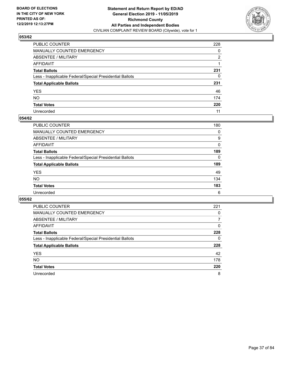

| PUBLIC COUNTER                                           | 228 |
|----------------------------------------------------------|-----|
| MANUALLY COUNTED EMERGENCY                               | 0   |
| ABSENTEE / MILITARY                                      | 2   |
| AFFIDAVIT                                                |     |
| Total Ballots                                            | 231 |
| Less - Inapplicable Federal/Special Presidential Ballots | 0   |
| <b>Total Applicable Ballots</b>                          | 231 |
| YES                                                      | 46  |
| NO.                                                      | 174 |
| <b>Total Votes</b>                                       | 220 |
| Unrecorded                                               | 11  |

#### **054/62**

| <b>PUBLIC COUNTER</b>                                    | 180      |
|----------------------------------------------------------|----------|
| <b>MANUALLY COUNTED EMERGENCY</b>                        | 0        |
| ABSENTEE / MILITARY                                      | 9        |
| AFFIDAVIT                                                | $\Omega$ |
| <b>Total Ballots</b>                                     | 189      |
| Less - Inapplicable Federal/Special Presidential Ballots | $\Omega$ |
| <b>Total Applicable Ballots</b>                          | 189      |
| <b>YES</b>                                               | 49       |
| <b>NO</b>                                                | 134      |
| <b>Total Votes</b>                                       | 183      |
| Unrecorded                                               | 6        |

| <b>PUBLIC COUNTER</b>                                    | 221      |
|----------------------------------------------------------|----------|
| <b>MANUALLY COUNTED EMERGENCY</b>                        | 0        |
| ABSENTEE / MILITARY                                      |          |
| AFFIDAVIT                                                | $\Omega$ |
| <b>Total Ballots</b>                                     | 228      |
| Less - Inapplicable Federal/Special Presidential Ballots | 0        |
| <b>Total Applicable Ballots</b>                          | 228      |
| <b>YES</b>                                               | 42       |
| <b>NO</b>                                                | 178      |
| <b>Total Votes</b>                                       | 220      |
| Unrecorded                                               | 8        |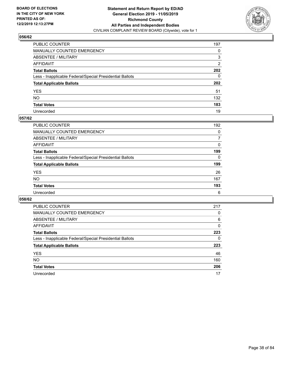

| PUBLIC COUNTER                                           | 197          |
|----------------------------------------------------------|--------------|
| MANUALLY COUNTED EMERGENCY                               | 0            |
| ABSENTEE / MILITARY                                      | 3            |
| AFFIDAVIT                                                | 2            |
| Total Ballots                                            | 202          |
| Less - Inapplicable Federal/Special Presidential Ballots | $\mathbf{0}$ |
| <b>Total Applicable Ballots</b>                          | 202          |
| YES                                                      | 51           |
| NO.                                                      | 132          |
| <b>Total Votes</b>                                       | 183          |
| Unrecorded                                               | 19           |

### **057/62**

| <b>PUBLIC COUNTER</b>                                    | 192      |
|----------------------------------------------------------|----------|
| <b>MANUALLY COUNTED EMERGENCY</b>                        | 0        |
| ABSENTEE / MILITARY                                      | 7        |
| AFFIDAVIT                                                | $\Omega$ |
| <b>Total Ballots</b>                                     | 199      |
| Less - Inapplicable Federal/Special Presidential Ballots | $\Omega$ |
| <b>Total Applicable Ballots</b>                          | 199      |
| <b>YES</b>                                               | 26       |
| <b>NO</b>                                                | 167      |
| <b>Total Votes</b>                                       | 193      |
| Unrecorded                                               | 6        |

| <b>PUBLIC COUNTER</b>                                    | 217      |
|----------------------------------------------------------|----------|
| MANUALLY COUNTED EMERGENCY                               | 0        |
| ABSENTEE / MILITARY                                      | 6        |
| AFFIDAVIT                                                | $\Omega$ |
| <b>Total Ballots</b>                                     | 223      |
| Less - Inapplicable Federal/Special Presidential Ballots | 0        |
| <b>Total Applicable Ballots</b>                          | 223      |
| <b>YES</b>                                               | 46       |
| <b>NO</b>                                                | 160      |
| <b>Total Votes</b>                                       | 206      |
| Unrecorded                                               | 17       |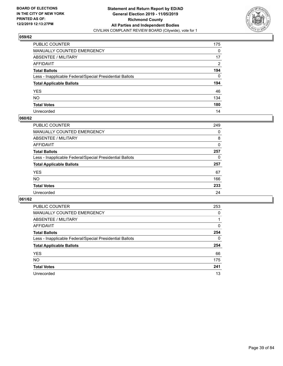

| PUBLIC COUNTER                                           | 175          |
|----------------------------------------------------------|--------------|
| MANUALLY COUNTED EMERGENCY                               | $\mathbf{0}$ |
| ABSENTEE / MILITARY                                      | 17           |
| AFFIDAVIT                                                | 2            |
| Total Ballots                                            | 194          |
| Less - Inapplicable Federal/Special Presidential Ballots | $\Omega$     |
| <b>Total Applicable Ballots</b>                          | 194          |
| YES                                                      | 46           |
| NO.                                                      | 134          |
| <b>Total Votes</b>                                       | 180          |
| Unrecorded                                               | 14           |

#### **060/62**

| <b>PUBLIC COUNTER</b>                                    | 249      |
|----------------------------------------------------------|----------|
| MANUALLY COUNTED EMERGENCY                               | 0        |
| ABSENTEE / MILITARY                                      | 8        |
| AFFIDAVIT                                                | 0        |
| <b>Total Ballots</b>                                     | 257      |
| Less - Inapplicable Federal/Special Presidential Ballots | $\Omega$ |
| <b>Total Applicable Ballots</b>                          | 257      |
| <b>YES</b>                                               | 67       |
| <b>NO</b>                                                | 166      |
| <b>Total Votes</b>                                       | 233      |
| Unrecorded                                               | 24       |

| <b>PUBLIC COUNTER</b>                                    | 253      |
|----------------------------------------------------------|----------|
| MANUALLY COUNTED EMERGENCY                               | 0        |
| ABSENTEE / MILITARY                                      |          |
| AFFIDAVIT                                                | $\Omega$ |
| <b>Total Ballots</b>                                     | 254      |
| Less - Inapplicable Federal/Special Presidential Ballots | $\Omega$ |
| <b>Total Applicable Ballots</b>                          | 254      |
| <b>YES</b>                                               | 66       |
| <b>NO</b>                                                | 175      |
| <b>Total Votes</b>                                       | 241      |
|                                                          |          |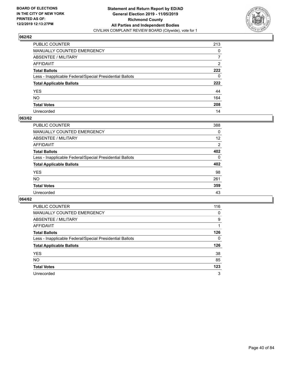

| PUBLIC COUNTER                                           | 213 |
|----------------------------------------------------------|-----|
| MANUALLY COUNTED EMERGENCY                               | 0   |
| ABSENTEE / MILITARY                                      | 7   |
| AFFIDAVIT                                                | 2   |
| Total Ballots                                            | 222 |
| Less - Inapplicable Federal/Special Presidential Ballots | 0   |
| <b>Total Applicable Ballots</b>                          | 222 |
| YES                                                      | 44  |
| NO.                                                      | 164 |
| <b>Total Votes</b>                                       | 208 |
| Unrecorded                                               | 14  |

#### **063/62**

| <b>PUBLIC COUNTER</b>                                    | 388            |
|----------------------------------------------------------|----------------|
| <b>MANUALLY COUNTED EMERGENCY</b>                        | 0              |
| <b>ABSENTEE / MILITARY</b>                               | 12             |
| AFFIDAVIT                                                | $\overline{2}$ |
| <b>Total Ballots</b>                                     | 402            |
| Less - Inapplicable Federal/Special Presidential Ballots | $\Omega$       |
| <b>Total Applicable Ballots</b>                          | 402            |
| <b>YES</b>                                               | 98             |
| NO                                                       | 261            |
| <b>Total Votes</b>                                       | 359            |
| Unrecorded                                               | 43             |

| <b>PUBLIC COUNTER</b>                                    | 116      |
|----------------------------------------------------------|----------|
| <b>MANUALLY COUNTED EMERGENCY</b>                        | 0        |
| ABSENTEE / MILITARY                                      | 9        |
| AFFIDAVIT                                                |          |
| <b>Total Ballots</b>                                     | 126      |
| Less - Inapplicable Federal/Special Presidential Ballots | $\Omega$ |
|                                                          |          |
| <b>Total Applicable Ballots</b>                          | 126      |
| <b>YES</b>                                               | 38       |
| <b>NO</b>                                                | 85       |
| <b>Total Votes</b>                                       | 123      |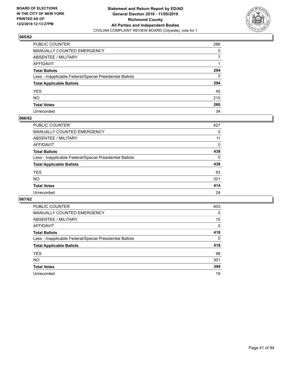

| PUBLIC COUNTER                                           | 286          |
|----------------------------------------------------------|--------------|
| MANUALLY COUNTED EMERGENCY                               | 0            |
| ABSENTEE / MILITARY                                      | $\mathbf{7}$ |
| AFFIDAVIT                                                |              |
| Total Ballots                                            | 294          |
| Less - Inapplicable Federal/Special Presidential Ballots | $\mathbf{0}$ |
| <b>Total Applicable Ballots</b>                          | 294          |
| YES                                                      | 45           |
| NO.                                                      | 215          |
| <b>Total Votes</b>                                       | 260          |
| Unrecorded                                               | 34           |

#### **066/62**

| <b>PUBLIC COUNTER</b>                                    | 427      |
|----------------------------------------------------------|----------|
| MANUALLY COUNTED EMERGENCY                               | 0        |
| ABSENTEE / MILITARY                                      | 11       |
| AFFIDAVIT                                                | $\Omega$ |
| <b>Total Ballots</b>                                     | 438      |
| Less - Inapplicable Federal/Special Presidential Ballots | $\Omega$ |
| <b>Total Applicable Ballots</b>                          | 438      |
| <b>YES</b>                                               | 93       |
| <b>NO</b>                                                | 321      |
| <b>Total Votes</b>                                       | 414      |
| Unrecorded                                               | 24       |

| <b>PUBLIC COUNTER</b>                                    | 403      |
|----------------------------------------------------------|----------|
| <b>MANUALLY COUNTED EMERGENCY</b>                        | $\Omega$ |
| ABSENTEE / MILITARY                                      | 15       |
| AFFIDAVIT                                                | 0        |
| <b>Total Ballots</b>                                     | 418      |
| Less - Inapplicable Federal/Special Presidential Ballots | $\Omega$ |
| <b>Total Applicable Ballots</b>                          | 418      |
| <b>YES</b>                                               | 98       |
| NO.                                                      | 301      |
| <b>Total Votes</b>                                       | 399      |
| Unrecorded                                               | 19       |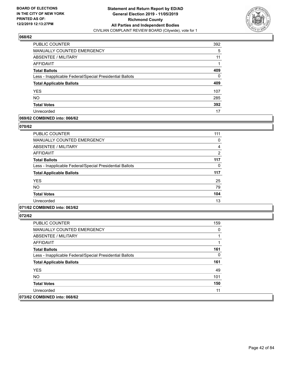

| PUBLIC COUNTER                                           | 392 |
|----------------------------------------------------------|-----|
| <b>MANUALLY COUNTED EMERGENCY</b>                        | 5   |
| ABSENTEE / MILITARY                                      | 11  |
| AFFIDAVIT                                                |     |
| <b>Total Ballots</b>                                     | 409 |
| Less - Inapplicable Federal/Special Presidential Ballots | 0   |
| <b>Total Applicable Ballots</b>                          | 409 |
| <b>YES</b>                                               | 107 |
| <b>NO</b>                                                | 285 |
| <b>Total Votes</b>                                       | 392 |
| Unrecorded                                               | 17  |

### **069/62 COMBINED into: 066/62**

#### **070/62**

| PUBLIC COUNTER                                           | 111            |
|----------------------------------------------------------|----------------|
| <b>MANUALLY COUNTED EMERGENCY</b>                        | 0              |
| ABSENTEE / MILITARY                                      | 4              |
| AFFIDAVIT                                                | $\overline{2}$ |
| <b>Total Ballots</b>                                     | 117            |
| Less - Inapplicable Federal/Special Presidential Ballots | 0              |
| <b>Total Applicable Ballots</b>                          | 117            |
| <b>YES</b>                                               | 25             |
| <b>NO</b>                                                | 79             |
| <b>Total Votes</b>                                       | 104            |
| Unrecorded                                               | 13             |
|                                                          |                |

### **071/62 COMBINED into: 063/62**

| <b>PUBLIC COUNTER</b>                                    | 159 |
|----------------------------------------------------------|-----|
| <b>MANUALLY COUNTED EMERGENCY</b>                        | 0   |
| ABSENTEE / MILITARY                                      |     |
| AFFIDAVIT                                                |     |
| <b>Total Ballots</b>                                     | 161 |
| Less - Inapplicable Federal/Special Presidential Ballots | 0   |
| <b>Total Applicable Ballots</b>                          | 161 |
| <b>YES</b>                                               | 49  |
| NO.                                                      | 101 |
| <b>Total Votes</b>                                       | 150 |
| Unrecorded                                               | 11  |
| 073/62 COMBINED into: 068/62                             |     |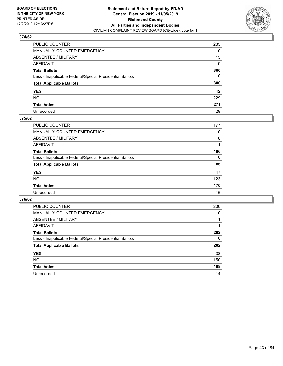

| PUBLIC COUNTER                                           | 285          |
|----------------------------------------------------------|--------------|
| MANUALLY COUNTED EMERGENCY                               | $\Omega$     |
| ABSENTEE / MILITARY                                      | 15           |
| AFFIDAVIT                                                | $\mathbf{0}$ |
| Total Ballots                                            | 300          |
| Less - Inapplicable Federal/Special Presidential Ballots | $\mathbf{0}$ |
| <b>Total Applicable Ballots</b>                          | 300          |
| YES                                                      | 42           |
| NO.                                                      | 229          |
| <b>Total Votes</b>                                       | 271          |
| Unrecorded                                               | 29           |

#### **075/62**

| <b>PUBLIC COUNTER</b>                                    | 177      |
|----------------------------------------------------------|----------|
| <b>MANUALLY COUNTED EMERGENCY</b>                        | 0        |
| ABSENTEE / MILITARY                                      | 8        |
| AFFIDAVIT                                                |          |
| <b>Total Ballots</b>                                     | 186      |
| Less - Inapplicable Federal/Special Presidential Ballots | $\Omega$ |
| <b>Total Applicable Ballots</b>                          | 186      |
| <b>YES</b>                                               | 47       |
| <b>NO</b>                                                | 123      |
| <b>Total Votes</b>                                       | 170      |
| Unrecorded                                               | 16       |

| <b>PUBLIC COUNTER</b>                                    | 200      |
|----------------------------------------------------------|----------|
| <b>MANUALLY COUNTED EMERGENCY</b>                        | $\Omega$ |
| ABSENTEE / MILITARY                                      |          |
| AFFIDAVIT                                                |          |
| <b>Total Ballots</b>                                     | 202      |
| Less - Inapplicable Federal/Special Presidential Ballots | 0        |
| <b>Total Applicable Ballots</b>                          | 202      |
| <b>YES</b>                                               | 38       |
| <b>NO</b>                                                | 150      |
| <b>Total Votes</b>                                       | 188      |
| Unrecorded                                               | 14       |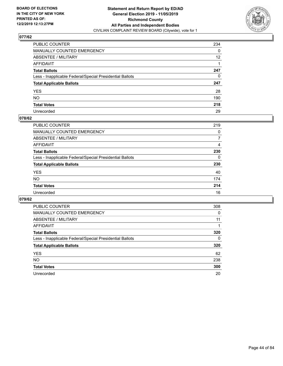

| PUBLIC COUNTER                                           | 234             |
|----------------------------------------------------------|-----------------|
| MANUALLY COUNTED EMERGENCY                               | 0               |
| ABSENTEE / MILITARY                                      | 12 <sup>2</sup> |
| AFFIDAVIT                                                |                 |
| Total Ballots                                            | 247             |
| Less - Inapplicable Federal/Special Presidential Ballots | 0               |
| <b>Total Applicable Ballots</b>                          | 247             |
| YES                                                      | 28              |
| NO.                                                      | 190             |
| <b>Total Votes</b>                                       | 218             |
| Unrecorded                                               | 29              |

### **078/62**

| PUBLIC COUNTER                                           | 219      |
|----------------------------------------------------------|----------|
| MANUALLY COUNTED EMERGENCY                               | 0        |
| ABSENTEE / MILITARY                                      |          |
| AFFIDAVIT                                                | 4        |
| <b>Total Ballots</b>                                     | 230      |
| Less - Inapplicable Federal/Special Presidential Ballots | $\Omega$ |
| <b>Total Applicable Ballots</b>                          | 230      |
| <b>YES</b>                                               | 40       |
| <b>NO</b>                                                | 174      |
| <b>Total Votes</b>                                       | 214      |
| Unrecorded                                               | 16       |

| <b>PUBLIC COUNTER</b>                                    | 308      |
|----------------------------------------------------------|----------|
| MANUALLY COUNTED EMERGENCY                               | 0        |
| ABSENTEE / MILITARY                                      | 11       |
| AFFIDAVIT                                                |          |
| <b>Total Ballots</b>                                     | 320      |
| Less - Inapplicable Federal/Special Presidential Ballots | $\Omega$ |
| <b>Total Applicable Ballots</b>                          | 320      |
| <b>YES</b>                                               | 62       |
| NO.                                                      | 238      |
| <b>Total Votes</b>                                       | 300      |
| Unrecorded                                               | 20       |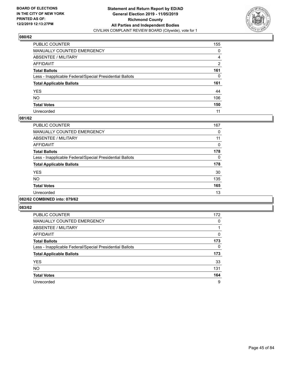

| PUBLIC COUNTER                                           | 155 |
|----------------------------------------------------------|-----|
| MANUALLY COUNTED EMERGENCY                               | 0   |
| ABSENTEE / MILITARY                                      | 4   |
| AFFIDAVIT                                                | 2   |
| Total Ballots                                            | 161 |
| Less - Inapplicable Federal/Special Presidential Ballots | 0   |
| <b>Total Applicable Ballots</b>                          | 161 |
| YES                                                      | 44  |
| NO.                                                      | 106 |
| <b>Total Votes</b>                                       | 150 |
| Unrecorded                                               | 11  |

#### **081/62**

| <b>PUBLIC COUNTER</b>                                    | 167      |
|----------------------------------------------------------|----------|
| <b>MANUALLY COUNTED EMERGENCY</b>                        | 0        |
| ABSENTEE / MILITARY                                      | 11       |
| <b>AFFIDAVIT</b>                                         | 0        |
| <b>Total Ballots</b>                                     | 178      |
| Less - Inapplicable Federal/Special Presidential Ballots | $\Omega$ |
| <b>Total Applicable Ballots</b>                          | 178      |
| <b>YES</b>                                               | 30       |
| <b>NO</b>                                                | 135      |
| <b>Total Votes</b>                                       | 165      |
| Unrecorded                                               | 13       |
|                                                          |          |

#### **082/62 COMBINED into: 079/62**

| <b>PUBLIC COUNTER</b>                                    | 172 |
|----------------------------------------------------------|-----|
| MANUALLY COUNTED EMERGENCY                               | 0   |
| ABSENTEE / MILITARY                                      |     |
| AFFIDAVIT                                                | 0   |
| <b>Total Ballots</b>                                     | 173 |
| Less - Inapplicable Federal/Special Presidential Ballots | 0   |
| <b>Total Applicable Ballots</b>                          | 173 |
| <b>YES</b>                                               | 33  |
| <b>NO</b>                                                | 131 |
| <b>Total Votes</b>                                       | 164 |
| Unrecorded                                               | 9   |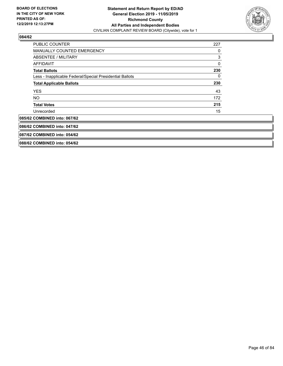

| <b>PUBLIC COUNTER</b>                                    | 227 |
|----------------------------------------------------------|-----|
| <b>MANUALLY COUNTED EMERGENCY</b>                        | 0   |
| ABSENTEE / MILITARY                                      | 3   |
| <b>AFFIDAVIT</b>                                         | 0   |
| <b>Total Ballots</b>                                     | 230 |
| Less - Inapplicable Federal/Special Presidential Ballots | 0   |
| <b>Total Applicable Ballots</b>                          | 230 |
| <b>YES</b>                                               | 43  |
| NO.                                                      | 172 |
| <b>Total Votes</b>                                       | 215 |
| Unrecorded                                               | 15  |
| 085/62 COMBINED into: 067/62                             |     |
| 086/62 COMBINED into: 047/62                             |     |
| 087/62 COMBINED into: 054/62                             |     |
| 088/62 COMBINED into: 054/62                             |     |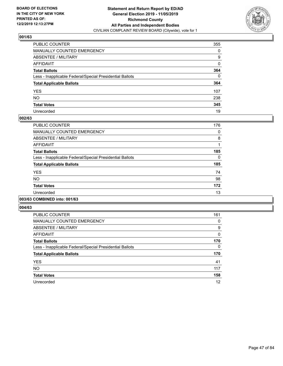

| PUBLIC COUNTER                                           | 355      |
|----------------------------------------------------------|----------|
| MANUALLY COUNTED EMERGENCY                               | 0        |
| ABSENTEE / MILITARY                                      | 9        |
| AFFIDAVIT                                                | 0        |
| Total Ballots                                            | 364      |
| Less - Inapplicable Federal/Special Presidential Ballots | $\Omega$ |
| <b>Total Applicable Ballots</b>                          | 364      |
| YES                                                      | 107      |
| NO.                                                      | 238      |
| <b>Total Votes</b>                                       | 345      |
| Unrecorded                                               | 19       |

### **002/63**

| <b>PUBLIC COUNTER</b>                                    | 176      |
|----------------------------------------------------------|----------|
| <b>MANUALLY COUNTED EMERGENCY</b>                        | 0        |
| ABSENTEE / MILITARY                                      | 8        |
| <b>AFFIDAVIT</b>                                         |          |
| <b>Total Ballots</b>                                     | 185      |
| Less - Inapplicable Federal/Special Presidential Ballots | $\Omega$ |
| <b>Total Applicable Ballots</b>                          | 185      |
| <b>YES</b>                                               | 74       |
| <b>NO</b>                                                | 98       |
| <b>Total Votes</b>                                       | 172      |
| Unrecorded                                               | 13       |
|                                                          |          |

### **003/63 COMBINED into: 001/63**

| <b>PUBLIC COUNTER</b>                                    | 161          |
|----------------------------------------------------------|--------------|
| <b>MANUALLY COUNTED EMERGENCY</b>                        | 0            |
| ABSENTEE / MILITARY                                      | 9            |
| <b>AFFIDAVIT</b>                                         | $\mathbf{0}$ |
| <b>Total Ballots</b>                                     | 170          |
| Less - Inapplicable Federal/Special Presidential Ballots | 0            |
| <b>Total Applicable Ballots</b>                          | 170          |
| <b>YES</b>                                               | 41           |
| <b>NO</b>                                                | 117          |
| <b>Total Votes</b>                                       | 158          |
| Unrecorded                                               | 12           |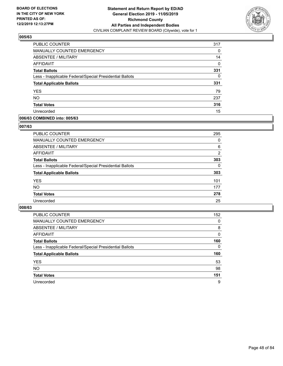

| PUBLIC COUNTER                                           | 317 |
|----------------------------------------------------------|-----|
| <b>MANUALLY COUNTED EMERGENCY</b>                        | 0   |
| ABSENTEE / MILITARY                                      | 14  |
| AFFIDAVIT                                                | 0   |
| <b>Total Ballots</b>                                     | 331 |
| Less - Inapplicable Federal/Special Presidential Ballots | 0   |
| <b>Total Applicable Ballots</b>                          | 331 |
| <b>YES</b>                                               | 79  |
| <b>NO</b>                                                | 237 |
| <b>Total Votes</b>                                       | 316 |
| Unrecorded                                               | 15  |

#### **006/63 COMBINED into: 005/63**

#### **007/63**

| <b>PUBLIC COUNTER</b>                                    | 295      |
|----------------------------------------------------------|----------|
| <b>MANUALLY COUNTED EMERGENCY</b>                        | $\Omega$ |
| ABSENTEE / MILITARY                                      | 6        |
| AFFIDAVIT                                                | 2        |
| <b>Total Ballots</b>                                     | 303      |
| Less - Inapplicable Federal/Special Presidential Ballots | 0        |
| <b>Total Applicable Ballots</b>                          | 303      |
| <b>YES</b>                                               | 101      |
| <b>NO</b>                                                | 177      |
| <b>Total Votes</b>                                       | 278      |
| Unrecorded                                               | 25       |
|                                                          |          |

| <b>PUBLIC COUNTER</b>                                    | 152      |
|----------------------------------------------------------|----------|
| MANUALLY COUNTED EMERGENCY                               | $\Omega$ |
| ABSENTEE / MILITARY                                      | 8        |
| AFFIDAVIT                                                | $\Omega$ |
| <b>Total Ballots</b>                                     | 160      |
| Less - Inapplicable Federal/Special Presidential Ballots | $\Omega$ |
| <b>Total Applicable Ballots</b>                          | 160      |
| <b>YES</b>                                               | 53       |
| <b>NO</b>                                                | 98       |
| <b>Total Votes</b>                                       | 151      |
|                                                          |          |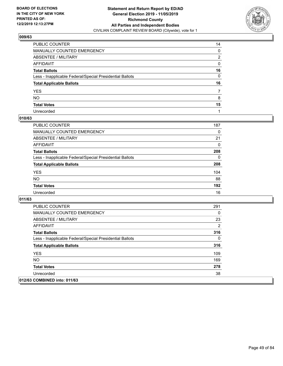

| PUBLIC COUNTER                                           | 14 |
|----------------------------------------------------------|----|
| MANUALLY COUNTED EMERGENCY                               | 0  |
| ABSENTEE / MILITARY                                      | 2  |
| AFFIDAVIT                                                | 0  |
| Total Ballots                                            | 16 |
| Less - Inapplicable Federal/Special Presidential Ballots | 0  |
| <b>Total Applicable Ballots</b>                          | 16 |
| YES                                                      |    |
| NO.                                                      | 8  |
| <b>Total Votes</b>                                       | 15 |
| Unrecorded                                               |    |

### **010/63**

| <b>PUBLIC COUNTER</b>                                    | 187      |
|----------------------------------------------------------|----------|
| MANUALLY COUNTED EMERGENCY                               | 0        |
| ABSENTEE / MILITARY                                      | 21       |
| AFFIDAVIT                                                | $\Omega$ |
| <b>Total Ballots</b>                                     | 208      |
| Less - Inapplicable Federal/Special Presidential Ballots | 0        |
| <b>Total Applicable Ballots</b>                          | 208      |
| <b>YES</b>                                               | 104      |
| <b>NO</b>                                                | 88       |
| <b>Total Votes</b>                                       | 192      |
| Unrecorded                                               | 16       |

| <b>PUBLIC COUNTER</b>                                    | 291 |
|----------------------------------------------------------|-----|
| <b>MANUALLY COUNTED EMERGENCY</b>                        | 0   |
| ABSENTEE / MILITARY                                      | 23  |
| AFFIDAVIT                                                | 2   |
| <b>Total Ballots</b>                                     | 316 |
| Less - Inapplicable Federal/Special Presidential Ballots | 0   |
| <b>Total Applicable Ballots</b>                          | 316 |
| <b>YES</b>                                               | 109 |
| NO.                                                      | 169 |
| <b>Total Votes</b>                                       | 278 |
| Unrecorded                                               | 38  |
| 012/63 COMBINED into: 011/63                             |     |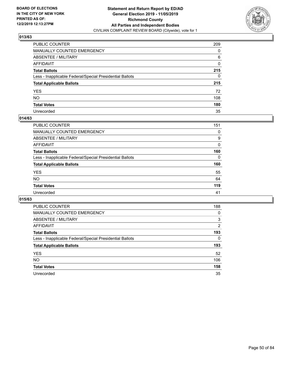

| PUBLIC COUNTER                                           | 209      |
|----------------------------------------------------------|----------|
| MANUALLY COUNTED EMERGENCY                               | 0        |
| ABSENTEE / MILITARY                                      | 6        |
| AFFIDAVIT                                                | 0        |
| Total Ballots                                            | 215      |
| Less - Inapplicable Federal/Special Presidential Ballots | $\Omega$ |
| <b>Total Applicable Ballots</b>                          | 215      |
| YES                                                      | 72       |
| NO.                                                      | 108      |
| <b>Total Votes</b>                                       | 180      |
| Unrecorded                                               | 35       |

#### **014/63**

| PUBLIC COUNTER                                           | 151      |
|----------------------------------------------------------|----------|
| <b>MANUALLY COUNTED EMERGENCY</b>                        | 0        |
| ABSENTEE / MILITARY                                      | 9        |
| AFFIDAVIT                                                | $\Omega$ |
| <b>Total Ballots</b>                                     | 160      |
| Less - Inapplicable Federal/Special Presidential Ballots | 0        |
| <b>Total Applicable Ballots</b>                          | 160      |
| <b>YES</b>                                               | 55       |
| <b>NO</b>                                                | 64       |
| <b>Total Votes</b>                                       | 119      |
| Unrecorded                                               | 41       |

| <b>PUBLIC COUNTER</b>                                    | 188            |
|----------------------------------------------------------|----------------|
| MANUALLY COUNTED EMERGENCY                               | 0              |
| ABSENTEE / MILITARY                                      | 3              |
| AFFIDAVIT                                                | $\overline{2}$ |
| <b>Total Ballots</b>                                     | 193            |
| Less - Inapplicable Federal/Special Presidential Ballots | 0              |
| <b>Total Applicable Ballots</b>                          | 193            |
| <b>YES</b>                                               | 52             |
| NO.                                                      | 106            |
| <b>Total Votes</b>                                       | 158            |
| Unrecorded                                               | 35             |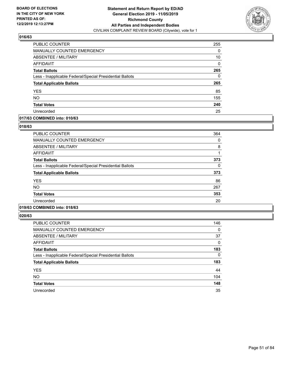

| PUBLIC COUNTER                                           | 255      |
|----------------------------------------------------------|----------|
| <b>MANUALLY COUNTED EMERGENCY</b>                        | 0        |
| ABSENTEE / MILITARY                                      | 10       |
| AFFIDAVIT                                                | $\Omega$ |
| <b>Total Ballots</b>                                     | 265      |
| Less - Inapplicable Federal/Special Presidential Ballots | 0        |
| <b>Total Applicable Ballots</b>                          | 265      |
| <b>YES</b>                                               | 85       |
| <b>NO</b>                                                | 155      |
| <b>Total Votes</b>                                       | 240      |
| Unrecorded                                               | 25       |

### **017/63 COMBINED into: 010/63**

#### **018/63**

| <b>PUBLIC COUNTER</b>                                    | 364 |
|----------------------------------------------------------|-----|
| <b>MANUALLY COUNTED EMERGENCY</b>                        | 0   |
| ABSENTEE / MILITARY                                      | 8   |
| AFFIDAVIT                                                |     |
| <b>Total Ballots</b>                                     | 373 |
| Less - Inapplicable Federal/Special Presidential Ballots | 0   |
| <b>Total Applicable Ballots</b>                          | 373 |
| <b>YES</b>                                               | 86  |
| <b>NO</b>                                                | 267 |
| <b>Total Votes</b>                                       | 353 |
| Unrecorded                                               | 20  |
|                                                          |     |

### **019/63 COMBINED into: 018/63**

| <b>PUBLIC COUNTER</b>                                    | 146      |
|----------------------------------------------------------|----------|
| <b>MANUALLY COUNTED EMERGENCY</b>                        | 0        |
| ABSENTEE / MILITARY                                      | 37       |
| AFFIDAVIT                                                | 0        |
| <b>Total Ballots</b>                                     | 183      |
| Less - Inapplicable Federal/Special Presidential Ballots | $\Omega$ |
| <b>Total Applicable Ballots</b>                          | 183      |
| <b>YES</b>                                               | 44       |
| <b>NO</b>                                                | 104      |
| <b>Total Votes</b>                                       | 148      |
| Unrecorded                                               | 35       |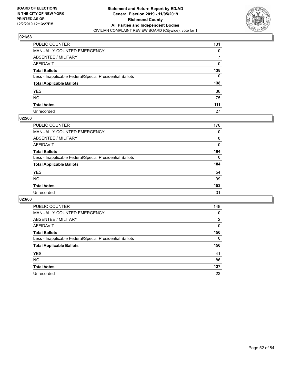

| PUBLIC COUNTER                                           | 131          |
|----------------------------------------------------------|--------------|
| MANUALLY COUNTED EMERGENCY                               | $\mathbf{0}$ |
| ABSENTEE / MILITARY                                      | 7            |
| AFFIDAVIT                                                | 0            |
| Total Ballots                                            | 138          |
| Less - Inapplicable Federal/Special Presidential Ballots | $\mathbf{0}$ |
| <b>Total Applicable Ballots</b>                          | 138          |
| YES                                                      | 36           |
| NO.                                                      | 75           |
| <b>Total Votes</b>                                       | 111          |
| Unrecorded                                               | 27           |

#### **022/63**

| <b>PUBLIC COUNTER</b>                                    | 176      |
|----------------------------------------------------------|----------|
| MANUALLY COUNTED EMERGENCY                               | $\Omega$ |
| ABSENTEE / MILITARY                                      | 8        |
| AFFIDAVIT                                                | $\Omega$ |
| <b>Total Ballots</b>                                     | 184      |
| Less - Inapplicable Federal/Special Presidential Ballots | $\Omega$ |
| <b>Total Applicable Ballots</b>                          | 184      |
| <b>YES</b>                                               | 54       |
| <b>NO</b>                                                | 99       |
| <b>Total Votes</b>                                       | 153      |
| Unrecorded                                               | 31       |

| <b>PUBLIC COUNTER</b>                                    | 148 |
|----------------------------------------------------------|-----|
| MANUALLY COUNTED EMERGENCY                               | 0   |
| ABSENTEE / MILITARY                                      | 2   |
| AFFIDAVIT                                                | 0   |
| <b>Total Ballots</b>                                     | 150 |
| Less - Inapplicable Federal/Special Presidential Ballots | 0   |
| <b>Total Applicable Ballots</b>                          | 150 |
| <b>YES</b>                                               | 41  |
| NO.                                                      | 86  |
| <b>Total Votes</b>                                       | 127 |
|                                                          |     |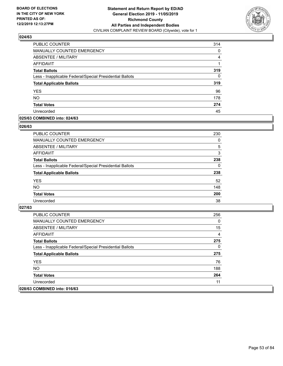

| <b>PUBLIC COUNTER</b>                                    | 314 |
|----------------------------------------------------------|-----|
| <b>MANUALLY COUNTED EMERGENCY</b>                        | 0   |
| ABSENTEE / MILITARY                                      | 4   |
| AFFIDAVIT                                                |     |
| <b>Total Ballots</b>                                     | 319 |
| Less - Inapplicable Federal/Special Presidential Ballots | 0   |
| <b>Total Applicable Ballots</b>                          | 319 |
| <b>YES</b>                                               | 96  |
| <b>NO</b>                                                | 178 |
| <b>Total Votes</b>                                       | 274 |
| Unrecorded                                               | 45  |

### **025/63 COMBINED into: 024/63**

#### **026/63**

| PUBLIC COUNTER                                           | 230      |
|----------------------------------------------------------|----------|
| <b>MANUALLY COUNTED EMERGENCY</b>                        | $\Omega$ |
| ABSENTEE / MILITARY                                      | 5        |
| AFFIDAVIT                                                | 3        |
| <b>Total Ballots</b>                                     | 238      |
| Less - Inapplicable Federal/Special Presidential Ballots | 0        |
| <b>Total Applicable Ballots</b>                          | 238      |
| <b>YES</b>                                               | 52       |
| <b>NO</b>                                                | 148      |
| <b>Total Votes</b>                                       | 200      |
| Unrecorded                                               | 38       |
|                                                          |          |

| PUBLIC COUNTER                                           | 256 |
|----------------------------------------------------------|-----|
| <b>MANUALLY COUNTED EMERGENCY</b>                        | 0   |
| <b>ABSENTEE / MILITARY</b>                               | 15  |
| AFFIDAVIT                                                | 4   |
| <b>Total Ballots</b>                                     | 275 |
| Less - Inapplicable Federal/Special Presidential Ballots | 0   |
| <b>Total Applicable Ballots</b>                          | 275 |
| <b>YES</b>                                               | 76  |
| NO.                                                      | 188 |
| <b>Total Votes</b>                                       | 264 |
| Unrecorded                                               | 11  |
| 028/63 COMBINED into: 016/63                             |     |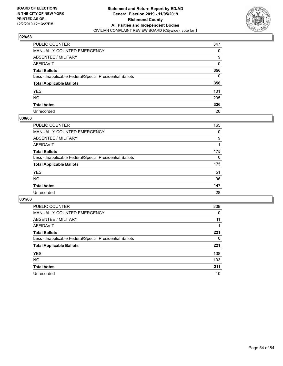

| PUBLIC COUNTER                                           | 347          |
|----------------------------------------------------------|--------------|
| MANUALLY COUNTED EMERGENCY                               | 0            |
| ABSENTEE / MILITARY                                      | 9            |
| AFFIDAVIT                                                | $\mathbf{0}$ |
| Total Ballots                                            | 356          |
| Less - Inapplicable Federal/Special Presidential Ballots | $\mathbf{0}$ |
| <b>Total Applicable Ballots</b>                          | 356          |
| YES                                                      | 101          |
| NO.                                                      | 235          |
| <b>Total Votes</b>                                       | 336          |
| Unrecorded                                               | 20           |

### **030/63**

| <b>PUBLIC COUNTER</b>                                    | 165      |
|----------------------------------------------------------|----------|
| <b>MANUALLY COUNTED EMERGENCY</b>                        | $\Omega$ |
| ABSENTEE / MILITARY                                      | 9        |
| AFFIDAVIT                                                |          |
| <b>Total Ballots</b>                                     | 175      |
| Less - Inapplicable Federal/Special Presidential Ballots | $\Omega$ |
| <b>Total Applicable Ballots</b>                          | 175      |
| <b>YES</b>                                               | 51       |
| <b>NO</b>                                                | 96       |
| <b>Total Votes</b>                                       | 147      |
| Unrecorded                                               | 28       |

| <b>PUBLIC COUNTER</b>                                    | 209 |
|----------------------------------------------------------|-----|
| MANUALLY COUNTED EMERGENCY                               | 0   |
| ABSENTEE / MILITARY                                      | 11  |
| AFFIDAVIT                                                |     |
| <b>Total Ballots</b>                                     | 221 |
| Less - Inapplicable Federal/Special Presidential Ballots | 0   |
| <b>Total Applicable Ballots</b>                          | 221 |
| <b>YES</b>                                               | 108 |
| NO.                                                      | 103 |
| <b>Total Votes</b>                                       | 211 |
| Unrecorded                                               | 10  |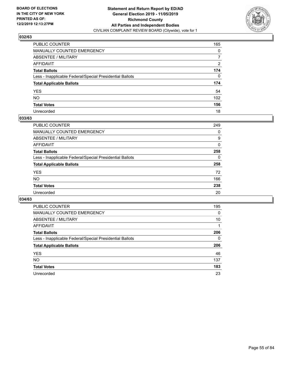

| PUBLIC COUNTER                                           | 165          |
|----------------------------------------------------------|--------------|
| MANUALLY COUNTED EMERGENCY                               | 0            |
| ABSENTEE / MILITARY                                      | 7            |
| AFFIDAVIT                                                | 2            |
| Total Ballots                                            | 174          |
| Less - Inapplicable Federal/Special Presidential Ballots | $\mathbf{0}$ |
| <b>Total Applicable Ballots</b>                          | 174          |
| YES                                                      | 54           |
| NO.                                                      | 102          |
| <b>Total Votes</b>                                       | 156          |
| Unrecorded                                               | 18           |

#### **033/63**

| <b>PUBLIC COUNTER</b>                                    | 249      |
|----------------------------------------------------------|----------|
| MANUALLY COUNTED EMERGENCY                               | 0        |
| ABSENTEE / MILITARY                                      | 9        |
| AFFIDAVIT                                                | $\Omega$ |
| <b>Total Ballots</b>                                     | 258      |
| Less - Inapplicable Federal/Special Presidential Ballots | $\Omega$ |
| <b>Total Applicable Ballots</b>                          | 258      |
| <b>YES</b>                                               | 72       |
| <b>NO</b>                                                | 166      |
| <b>Total Votes</b>                                       | 238      |
| Unrecorded                                               | 20       |

| <b>PUBLIC COUNTER</b>                                    | 195 |
|----------------------------------------------------------|-----|
| MANUALLY COUNTED EMERGENCY                               | 0   |
| ABSENTEE / MILITARY                                      | 10  |
| AFFIDAVIT                                                |     |
| <b>Total Ballots</b>                                     | 206 |
| Less - Inapplicable Federal/Special Presidential Ballots | 0   |
| <b>Total Applicable Ballots</b>                          | 206 |
| <b>YES</b>                                               | 46  |
| NO.                                                      | 137 |
| <b>Total Votes</b>                                       | 183 |
| Unrecorded                                               | 23  |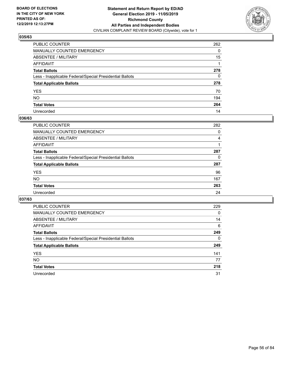

| PUBLIC COUNTER                                           | 262 |
|----------------------------------------------------------|-----|
| MANUALLY COUNTED EMERGENCY                               | 0   |
| ABSENTEE / MILITARY                                      | 15  |
| AFFIDAVIT                                                |     |
| Total Ballots                                            | 278 |
| Less - Inapplicable Federal/Special Presidential Ballots | 0   |
| <b>Total Applicable Ballots</b>                          | 278 |
| YES                                                      | 70  |
| NO.                                                      | 194 |
| <b>Total Votes</b>                                       | 264 |
| Unrecorded                                               | 14  |

#### **036/63**

| <b>PUBLIC COUNTER</b>                                    | 282 |
|----------------------------------------------------------|-----|
| <b>MANUALLY COUNTED EMERGENCY</b>                        | 0   |
| ABSENTEE / MILITARY                                      | 4   |
| AFFIDAVIT                                                |     |
| <b>Total Ballots</b>                                     | 287 |
| Less - Inapplicable Federal/Special Presidential Ballots | 0   |
| <b>Total Applicable Ballots</b>                          | 287 |
| <b>YES</b>                                               | 96  |
| <b>NO</b>                                                | 167 |
| <b>Total Votes</b>                                       | 263 |
| Unrecorded                                               | 24  |

| <b>PUBLIC COUNTER</b>                                    | 229      |
|----------------------------------------------------------|----------|
| MANUALLY COUNTED EMERGENCY                               | 0        |
| ABSENTEE / MILITARY                                      | 14       |
| AFFIDAVIT                                                | 6        |
| <b>Total Ballots</b>                                     | 249      |
| Less - Inapplicable Federal/Special Presidential Ballots | $\Omega$ |
| <b>Total Applicable Ballots</b>                          | 249      |
| <b>YES</b>                                               | 141      |
| NO.                                                      | 77       |
| <b>Total Votes</b>                                       | 218      |
| Unrecorded                                               | 31       |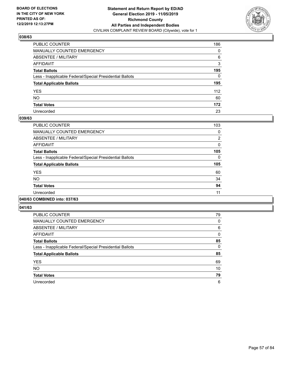

| PUBLIC COUNTER                                           | 186          |
|----------------------------------------------------------|--------------|
| MANUALLY COUNTED EMERGENCY                               | 0            |
| ABSENTEE / MILITARY                                      | 6            |
| AFFIDAVIT                                                | 3            |
| Total Ballots                                            | 195          |
| Less - Inapplicable Federal/Special Presidential Ballots | $\mathbf{0}$ |
| <b>Total Applicable Ballots</b>                          | 195          |
| YES                                                      | 112          |
| NO.                                                      | 60           |
| <b>Total Votes</b>                                       | 172          |
| Unrecorded                                               | 23           |

#### **039/63**

| <b>PUBLIC COUNTER</b>                                    | 103            |
|----------------------------------------------------------|----------------|
| MANUALLY COUNTED EMERGENCY                               | 0              |
| ABSENTEE / MILITARY                                      | $\overline{2}$ |
| AFFIDAVIT                                                | $\Omega$       |
| <b>Total Ballots</b>                                     | 105            |
| Less - Inapplicable Federal/Special Presidential Ballots | $\Omega$       |
| <b>Total Applicable Ballots</b>                          | 105            |
| <b>YES</b>                                               | 60             |
| <b>NO</b>                                                | 34             |
| <b>Total Votes</b>                                       | 94             |
| Unrecorded                                               | 11             |
|                                                          |                |

#### **040/63 COMBINED into: 037/63**

| <b>PUBLIC COUNTER</b>                                    | 79       |
|----------------------------------------------------------|----------|
| <b>MANUALLY COUNTED EMERGENCY</b>                        | $\Omega$ |
| ABSENTEE / MILITARY                                      | 6        |
| <b>AFFIDAVIT</b>                                         | $\Omega$ |
| <b>Total Ballots</b>                                     | 85       |
| Less - Inapplicable Federal/Special Presidential Ballots | $\Omega$ |
| <b>Total Applicable Ballots</b>                          | 85       |
| <b>YES</b>                                               | 69       |
| <b>NO</b>                                                | 10       |
| <b>Total Votes</b>                                       | 79       |
| Unrecorded                                               | 6        |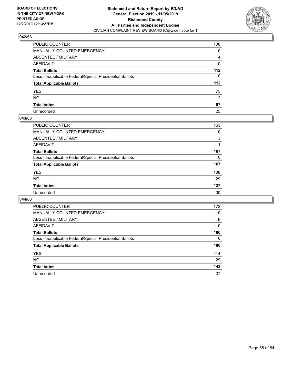

| PUBLIC COUNTER                                           | 108             |
|----------------------------------------------------------|-----------------|
| MANUALLY COUNTED EMERGENCY                               | 0               |
| ABSENTEE / MILITARY                                      | 4               |
| AFFIDAVIT                                                | 0               |
| Total Ballots                                            | 112             |
| Less - Inapplicable Federal/Special Presidential Ballots | $\mathbf{0}$    |
| <b>Total Applicable Ballots</b>                          | 112             |
| YES                                                      | 75              |
| NO.                                                      | 12 <sup>2</sup> |
| <b>Total Votes</b>                                       | 87              |
| Unrecorded                                               | 25              |

#### **043/63**

| <b>PUBLIC COUNTER</b>                                    | 163      |
|----------------------------------------------------------|----------|
| MANUALLY COUNTED EMERGENCY                               | 0        |
| ABSENTEE / MILITARY                                      | 3        |
| AFFIDAVIT                                                |          |
| <b>Total Ballots</b>                                     | 167      |
| Less - Inapplicable Federal/Special Presidential Ballots | $\Omega$ |
| <b>Total Applicable Ballots</b>                          | 167      |
| <b>YES</b>                                               | 108      |
| <b>NO</b>                                                | 29       |
| <b>Total Votes</b>                                       | 137      |
| Unrecorded                                               | 30       |

| <b>PUBLIC COUNTER</b>                                    | 172      |
|----------------------------------------------------------|----------|
| <b>MANUALLY COUNTED EMERGENCY</b>                        | 0        |
| ABSENTEE / MILITARY                                      | 8        |
| AFFIDAVIT                                                | 0        |
| <b>Total Ballots</b>                                     | 180      |
| Less - Inapplicable Federal/Special Presidential Ballots | $\Omega$ |
| <b>Total Applicable Ballots</b>                          | 180      |
| <b>YES</b>                                               | 114      |
| <b>NO</b>                                                | 29       |
| <b>Total Votes</b>                                       | 143      |
| Unrecorded                                               | 37       |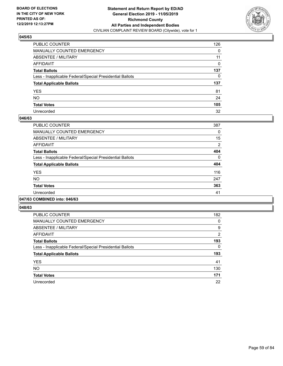

| PUBLIC COUNTER                                           | 126 |
|----------------------------------------------------------|-----|
| MANUALLY COUNTED EMERGENCY                               | 0   |
| ABSENTEE / MILITARY                                      | 11  |
| AFFIDAVIT                                                | 0   |
| Total Ballots                                            | 137 |
| Less - Inapplicable Federal/Special Presidential Ballots | 0   |
| <b>Total Applicable Ballots</b>                          | 137 |
| YES                                                      | 81  |
| NO.                                                      | 24  |
| <b>Total Votes</b>                                       | 105 |
| Unrecorded                                               | 32  |

#### **046/63**

| PUBLIC COUNTER                                           | 387      |
|----------------------------------------------------------|----------|
| <b>MANUALLY COUNTED EMERGENCY</b>                        | 0        |
| <b>ABSENTEE / MILITARY</b>                               | 15       |
| <b>AFFIDAVIT</b>                                         | 2        |
| <b>Total Ballots</b>                                     | 404      |
| Less - Inapplicable Federal/Special Presidential Ballots | $\Omega$ |
| <b>Total Applicable Ballots</b>                          | 404      |
| <b>YES</b>                                               | 116      |
| NO.                                                      | 247      |
| <b>Total Votes</b>                                       | 363      |
| Unrecorded                                               | 41       |
|                                                          |          |

#### **047/63 COMBINED into: 046/63**

| PUBLIC COUNTER                                           | 182            |
|----------------------------------------------------------|----------------|
| <b>MANUALLY COUNTED EMERGENCY</b>                        | 0              |
| <b>ABSENTEE / MILITARY</b>                               | 9              |
| <b>AFFIDAVIT</b>                                         | $\overline{2}$ |
| <b>Total Ballots</b>                                     | 193            |
| Less - Inapplicable Federal/Special Presidential Ballots | 0              |
| <b>Total Applicable Ballots</b>                          | 193            |
| <b>YES</b>                                               | 41             |
| <b>NO</b>                                                | 130            |
| <b>Total Votes</b>                                       | 171            |
| Unrecorded                                               | 22             |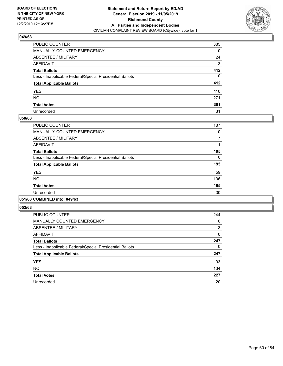

| PUBLIC COUNTER                                           | 385      |
|----------------------------------------------------------|----------|
| MANUALLY COUNTED EMERGENCY                               | 0        |
| ABSENTEE / MILITARY                                      | 24       |
| AFFIDAVIT                                                | 3        |
| Total Ballots                                            | 412      |
| Less - Inapplicable Federal/Special Presidential Ballots | $\Omega$ |
| <b>Total Applicable Ballots</b>                          | 412      |
| YES                                                      | 110      |
| NO.                                                      | 271      |
| <b>Total Votes</b>                                       | 381      |
| Unrecorded                                               | 31       |

#### **050/63**

| <b>PUBLIC COUNTER</b>                                    | 187      |
|----------------------------------------------------------|----------|
| <b>MANUALLY COUNTED EMERGENCY</b>                        | 0        |
| ABSENTEE / MILITARY                                      | 7        |
| <b>AFFIDAVIT</b>                                         |          |
| <b>Total Ballots</b>                                     | 195      |
| Less - Inapplicable Federal/Special Presidential Ballots | $\Omega$ |
| <b>Total Applicable Ballots</b>                          | 195      |
| <b>YES</b>                                               | 59       |
| <b>NO</b>                                                | 106      |
| <b>Total Votes</b>                                       | 165      |
| Unrecorded                                               | 30       |
|                                                          |          |

### **051/63 COMBINED into: 049/63**

| <b>PUBLIC COUNTER</b>                                    | 244 |
|----------------------------------------------------------|-----|
| <b>MANUALLY COUNTED EMERGENCY</b>                        | 0   |
| ABSENTEE / MILITARY                                      | 3   |
| <b>AFFIDAVIT</b>                                         | 0   |
| <b>Total Ballots</b>                                     | 247 |
| Less - Inapplicable Federal/Special Presidential Ballots | 0   |
| <b>Total Applicable Ballots</b>                          | 247 |
| <b>YES</b>                                               | 93  |
| <b>NO</b>                                                | 134 |
| <b>Total Votes</b>                                       | 227 |
| Unrecorded                                               | 20  |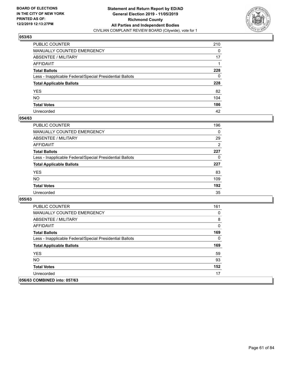

| PUBLIC COUNTER                                           | 210          |
|----------------------------------------------------------|--------------|
| MANUALLY COUNTED EMERGENCY                               | $\mathbf{0}$ |
| ABSENTEE / MILITARY                                      | 17           |
| AFFIDAVIT                                                |              |
| Total Ballots                                            | 228          |
| Less - Inapplicable Federal/Special Presidential Ballots | 0            |
| <b>Total Applicable Ballots</b>                          | 228          |
| YES                                                      | 82           |
| NO.                                                      | 104          |
| <b>Total Votes</b>                                       | 186          |
| Unrecorded                                               | 42           |

#### **054/63**

| <b>PUBLIC COUNTER</b>                                    | 196            |
|----------------------------------------------------------|----------------|
| MANUALLY COUNTED EMERGENCY                               | $\Omega$       |
| ABSENTEE / MILITARY                                      | 29             |
| AFFIDAVIT                                                | $\overline{2}$ |
| <b>Total Ballots</b>                                     | 227            |
| Less - Inapplicable Federal/Special Presidential Ballots | 0              |
| <b>Total Applicable Ballots</b>                          | 227            |
| <b>YES</b>                                               | 83             |
| <b>NO</b>                                                | 109            |
| <b>Total Votes</b>                                       | 192            |
| Unrecorded                                               | 35             |

| <b>PUBLIC COUNTER</b>                                    | 161 |
|----------------------------------------------------------|-----|
| <b>MANUALLY COUNTED EMERGENCY</b>                        | 0   |
| ABSENTEE / MILITARY                                      | 8   |
| AFFIDAVIT                                                | 0   |
| <b>Total Ballots</b>                                     | 169 |
| Less - Inapplicable Federal/Special Presidential Ballots | 0   |
| <b>Total Applicable Ballots</b>                          | 169 |
| <b>YES</b>                                               | 59  |
| NO.                                                      | 93  |
| <b>Total Votes</b>                                       | 152 |
| Unrecorded                                               | 17  |
| 056/63 COMBINED into: 057/63                             |     |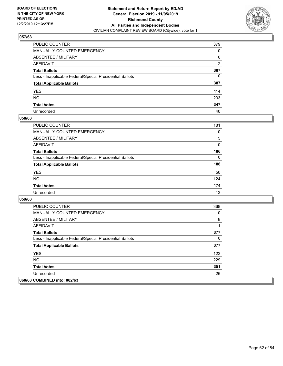

| PUBLIC COUNTER                                           | 379          |
|----------------------------------------------------------|--------------|
| MANUALLY COUNTED EMERGENCY                               | 0            |
| ABSENTEE / MILITARY                                      | 6            |
| AFFIDAVIT                                                | 2            |
| Total Ballots                                            | 387          |
| Less - Inapplicable Federal/Special Presidential Ballots | $\mathbf{0}$ |
| <b>Total Applicable Ballots</b>                          | 387          |
| YES                                                      | 114          |
| NO.                                                      | 233          |
| <b>Total Votes</b>                                       | 347          |
| Unrecorded                                               | 40           |

#### **058/63**

| <b>PUBLIC COUNTER</b>                                    | 181      |
|----------------------------------------------------------|----------|
| <b>MANUALLY COUNTED EMERGENCY</b>                        | $\Omega$ |
| ABSENTEE / MILITARY                                      | 5        |
| AFFIDAVIT                                                | 0        |
| <b>Total Ballots</b>                                     | 186      |
| Less - Inapplicable Federal/Special Presidential Ballots | $\Omega$ |
| <b>Total Applicable Ballots</b>                          | 186      |
| <b>YES</b>                                               | 50       |
| <b>NO</b>                                                | 124      |
| <b>Total Votes</b>                                       | 174      |
| Unrecorded                                               | 12       |

| <b>PUBLIC COUNTER</b>                                    | 368 |
|----------------------------------------------------------|-----|
| <b>MANUALLY COUNTED EMERGENCY</b>                        | 0   |
| ABSENTEE / MILITARY                                      | 8   |
| AFFIDAVIT                                                |     |
| <b>Total Ballots</b>                                     | 377 |
| Less - Inapplicable Federal/Special Presidential Ballots | 0   |
| <b>Total Applicable Ballots</b>                          | 377 |
| <b>YES</b>                                               | 122 |
| <b>NO</b>                                                | 229 |
| <b>Total Votes</b>                                       | 351 |
| Unrecorded                                               | 26  |
| 060/63 COMBINED into: 082/63                             |     |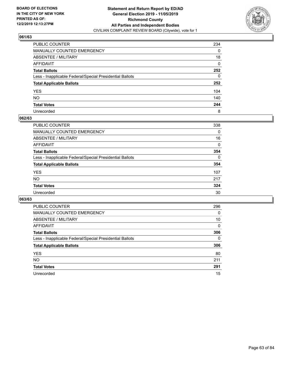

| PUBLIC COUNTER                                           | 234 |
|----------------------------------------------------------|-----|
| MANUALLY COUNTED EMERGENCY                               | 0   |
| ABSENTEE / MILITARY                                      | 18  |
| AFFIDAVIT                                                | 0   |
| Total Ballots                                            | 252 |
| Less - Inapplicable Federal/Special Presidential Ballots | 0   |
| <b>Total Applicable Ballots</b>                          | 252 |
| YES                                                      | 104 |
| NO.                                                      | 140 |
| <b>Total Votes</b>                                       | 244 |
| Unrecorded                                               | 8   |

#### **062/63**

| <b>PUBLIC COUNTER</b>                                    | 338      |
|----------------------------------------------------------|----------|
| <b>MANUALLY COUNTED EMERGENCY</b>                        | 0        |
| ABSENTEE / MILITARY                                      | 16       |
| AFFIDAVIT                                                | 0        |
| <b>Total Ballots</b>                                     | 354      |
| Less - Inapplicable Federal/Special Presidential Ballots | $\Omega$ |
| <b>Total Applicable Ballots</b>                          | 354      |
| <b>YES</b>                                               | 107      |
| <b>NO</b>                                                | 217      |
| <b>Total Votes</b>                                       | 324      |
| Unrecorded                                               | 30       |

| <b>PUBLIC COUNTER</b>                                    | 296      |
|----------------------------------------------------------|----------|
| MANUALLY COUNTED EMERGENCY                               | $\Omega$ |
| ABSENTEE / MILITARY                                      | 10       |
| AFFIDAVIT                                                | $\Omega$ |
| <b>Total Ballots</b>                                     | 306      |
| Less - Inapplicable Federal/Special Presidential Ballots | $\Omega$ |
| <b>Total Applicable Ballots</b>                          | 306      |
| <b>YES</b>                                               | 80       |
| NO.                                                      | 211      |
| <b>Total Votes</b>                                       | 291      |
| Unrecorded                                               | 15       |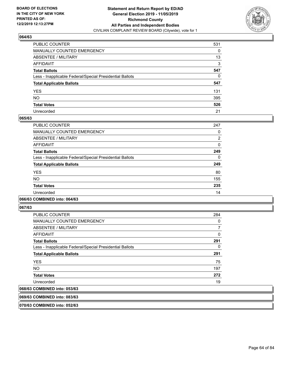

| PUBLIC COUNTER                                           | 531 |
|----------------------------------------------------------|-----|
| MANUALLY COUNTED EMERGENCY                               | 0   |
| ABSENTEE / MILITARY                                      | 13  |
| AFFIDAVIT                                                | 3   |
| Total Ballots                                            | 547 |
| Less - Inapplicable Federal/Special Presidential Ballots | 0   |
| <b>Total Applicable Ballots</b>                          | 547 |
| YES                                                      | 131 |
| NO.                                                      | 395 |
| <b>Total Votes</b>                                       | 526 |
| Unrecorded                                               | 21  |

#### **065/63**

| PUBLIC COUNTER                                           | 247 |
|----------------------------------------------------------|-----|
| <b>MANUALLY COUNTED EMERGENCY</b>                        | 0   |
| ABSENTEE / MILITARY                                      | 2   |
| <b>AFFIDAVIT</b>                                         | 0   |
| <b>Total Ballots</b>                                     | 249 |
| Less - Inapplicable Federal/Special Presidential Ballots | 0   |
| <b>Total Applicable Ballots</b>                          | 249 |
| <b>YES</b>                                               | 80  |
| <b>NO</b>                                                | 155 |
| <b>Total Votes</b>                                       | 235 |
| Unrecorded                                               | 14  |

#### **066/63 COMBINED into: 064/63**

**067/63** 

| PUBLIC COUNTER                                           | 284 |
|----------------------------------------------------------|-----|
| <b>MANUALLY COUNTED EMERGENCY</b>                        | 0   |
| ABSENTEE / MILITARY                                      | 7   |
| AFFIDAVIT                                                | 0   |
| <b>Total Ballots</b>                                     | 291 |
| Less - Inapplicable Federal/Special Presidential Ballots | 0   |
| <b>Total Applicable Ballots</b>                          | 291 |
| <b>YES</b>                                               | 75  |
| <b>NO</b>                                                | 197 |
| <b>Total Votes</b>                                       | 272 |
| Unrecorded                                               | 19  |
| 068/63 COMBINED into: 053/63                             |     |

**069/63 COMBINED into: 083/63**

**070/63 COMBINED into: 052/63**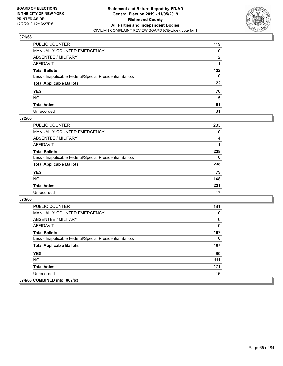

| PUBLIC COUNTER                                           | 119          |
|----------------------------------------------------------|--------------|
| MANUALLY COUNTED EMERGENCY                               | 0            |
| ABSENTEE / MILITARY                                      | 2            |
| AFFIDAVIT                                                |              |
| Total Ballots                                            | 122          |
| Less - Inapplicable Federal/Special Presidential Ballots | $\mathbf{0}$ |
| <b>Total Applicable Ballots</b>                          | 122          |
| YES                                                      | 76           |
| NO.                                                      | 15           |
| <b>Total Votes</b>                                       | 91           |
| Unrecorded                                               | 31           |

### **072/63**

| <b>PUBLIC COUNTER</b>                                    | 233      |
|----------------------------------------------------------|----------|
| MANUALLY COUNTED EMERGENCY                               | $\Omega$ |
| ABSENTEE / MILITARY                                      | 4        |
| AFFIDAVIT                                                |          |
| <b>Total Ballots</b>                                     | 238      |
| Less - Inapplicable Federal/Special Presidential Ballots | 0        |
| <b>Total Applicable Ballots</b>                          | 238      |
| <b>YES</b>                                               | 73       |
| <b>NO</b>                                                | 148      |
| <b>Total Votes</b>                                       | 221      |
| Unrecorded                                               | 17       |

| <b>PUBLIC COUNTER</b>                                    | 181 |
|----------------------------------------------------------|-----|
| <b>MANUALLY COUNTED EMERGENCY</b>                        | 0   |
| ABSENTEE / MILITARY                                      | 6   |
| AFFIDAVIT                                                | 0   |
| <b>Total Ballots</b>                                     | 187 |
| Less - Inapplicable Federal/Special Presidential Ballots | 0   |
| <b>Total Applicable Ballots</b>                          | 187 |
| <b>YES</b>                                               | 60  |
| <b>NO</b>                                                | 111 |
| <b>Total Votes</b>                                       | 171 |
| Unrecorded                                               | 16  |
| 074/63 COMBINED into: 062/63                             |     |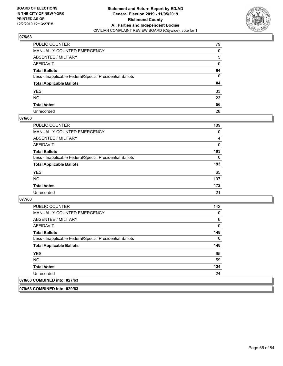

| PUBLIC COUNTER                                           | 79           |
|----------------------------------------------------------|--------------|
| MANUALLY COUNTED EMERGENCY                               | 0            |
| ABSENTEE / MILITARY                                      | 5            |
| AFFIDAVIT                                                | 0            |
| Total Ballots                                            | 84           |
| Less - Inapplicable Federal/Special Presidential Ballots | $\mathbf{0}$ |
| <b>Total Applicable Ballots</b>                          | 84           |
| YES                                                      | 33           |
| NO.                                                      | 23           |
| <b>Total Votes</b>                                       | 56           |
| Unrecorded                                               | 28           |

#### **076/63**

| <b>PUBLIC COUNTER</b>                                    | 189      |
|----------------------------------------------------------|----------|
| <b>MANUALLY COUNTED EMERGENCY</b>                        | 0        |
| ABSENTEE / MILITARY                                      | 4        |
| AFFIDAVIT                                                | 0        |
| <b>Total Ballots</b>                                     | 193      |
| Less - Inapplicable Federal/Special Presidential Ballots | $\Omega$ |
| <b>Total Applicable Ballots</b>                          | 193      |
| <b>YES</b>                                               | 65       |
| <b>NO</b>                                                | 107      |
| <b>Total Votes</b>                                       | 172      |
| Unrecorded                                               | 21       |

#### **077/63**

**079/63 COMBINED into: 029/63**

| <b>PUBLIC COUNTER</b>                                    | 142 |
|----------------------------------------------------------|-----|
| <b>MANUALLY COUNTED EMERGENCY</b>                        | 0   |
| ABSENTEE / MILITARY                                      | 6   |
| <b>AFFIDAVIT</b>                                         | 0   |
| <b>Total Ballots</b>                                     | 148 |
| Less - Inapplicable Federal/Special Presidential Ballots | 0   |
| <b>Total Applicable Ballots</b>                          | 148 |
| <b>YES</b>                                               | 65  |
| NO.                                                      | 59  |
| <b>Total Votes</b>                                       | 124 |
| Unrecorded                                               | 24  |
| 078/63 COMBINED into: 027/63                             |     |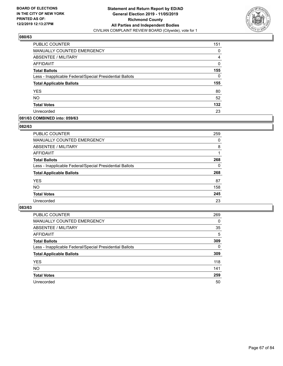

| <b>PUBLIC COUNTER</b>                                    | 151 |
|----------------------------------------------------------|-----|
| MANUALLY COUNTED EMERGENCY                               | 0   |
| ABSENTEE / MILITARY                                      | 4   |
| AFFIDAVIT                                                | 0   |
| <b>Total Ballots</b>                                     | 155 |
| Less - Inapplicable Federal/Special Presidential Ballots | 0   |
| <b>Total Applicable Ballots</b>                          | 155 |
| <b>YES</b>                                               | 80  |
| <b>NO</b>                                                | 52  |
| <b>Total Votes</b>                                       | 132 |
| Unrecorded                                               | 23  |

### **081/63 COMBINED into: 059/63**

#### **082/63**

| PUBLIC COUNTER                                           | 259      |
|----------------------------------------------------------|----------|
| <b>MANUALLY COUNTED EMERGENCY</b>                        | $\Omega$ |
| ABSENTEE / MILITARY                                      | 8        |
| AFFIDAVIT                                                |          |
| <b>Total Ballots</b>                                     | 268      |
| Less - Inapplicable Federal/Special Presidential Ballots | 0        |
| <b>Total Applicable Ballots</b>                          | 268      |
| <b>YES</b>                                               | 87       |
| <b>NO</b>                                                | 158      |
| <b>Total Votes</b>                                       | 245      |
| Unrecorded                                               | 23       |
|                                                          |          |

| <b>PUBLIC COUNTER</b>                                    | 269      |
|----------------------------------------------------------|----------|
| MANUALLY COUNTED EMERGENCY                               | 0        |
| ABSENTEE / MILITARY                                      | 35       |
| AFFIDAVIT                                                | 5        |
| <b>Total Ballots</b>                                     | 309      |
| Less - Inapplicable Federal/Special Presidential Ballots | $\Omega$ |
| <b>Total Applicable Ballots</b>                          | 309      |
| <b>YES</b>                                               | 118      |
| <b>NO</b>                                                | 141      |
| <b>Total Votes</b>                                       | 259      |
| Unrecorded                                               | 50       |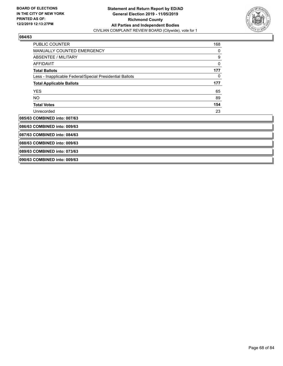

| PUBLIC COUNTER                                           | 168 |  |
|----------------------------------------------------------|-----|--|
| MANUALLY COUNTED EMERGENCY                               | 0   |  |
| <b>ABSENTEE / MILITARY</b>                               | 9   |  |
| <b>AFFIDAVIT</b>                                         | 0   |  |
| <b>Total Ballots</b>                                     | 177 |  |
| Less - Inapplicable Federal/Special Presidential Ballots | 0   |  |
| <b>Total Applicable Ballots</b>                          | 177 |  |
| <b>YES</b>                                               | 65  |  |
| <b>NO</b>                                                | 89  |  |
| <b>Total Votes</b>                                       | 154 |  |
| Unrecorded                                               | 23  |  |
| 085/63 COMBINED into: 007/63                             |     |  |
| 086/63 COMBINED into: 009/63                             |     |  |
| 087/63 COMBINED into: 084/63                             |     |  |
| 088/63 COMBINED into: 009/63                             |     |  |
| 089/63 COMBINED into: 073/63                             |     |  |
| 090/63 COMBINED into: 009/63                             |     |  |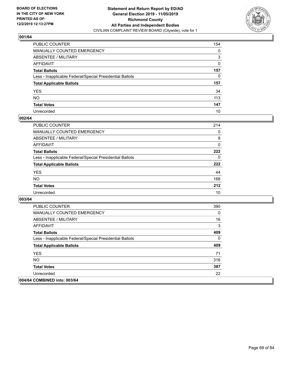

| PUBLIC COUNTER                                           | 154 |
|----------------------------------------------------------|-----|
| MANUALLY COUNTED EMERGENCY                               | 0   |
| ABSENTEE / MILITARY                                      | 3   |
| AFFIDAVIT                                                | 0   |
| Total Ballots                                            | 157 |
| Less - Inapplicable Federal/Special Presidential Ballots | 0   |
| <b>Total Applicable Ballots</b>                          | 157 |
| YES                                                      | 34  |
| NO.                                                      | 113 |
| <b>Total Votes</b>                                       | 147 |
| Unrecorded                                               |     |

### **002/64**

| <b>PUBLIC COUNTER</b>                                    | 214 |
|----------------------------------------------------------|-----|
| MANUALLY COUNTED EMERGENCY                               | 0   |
| ABSENTEE / MILITARY                                      | 8   |
| AFFIDAVIT                                                | 0   |
| <b>Total Ballots</b>                                     | 222 |
| Less - Inapplicable Federal/Special Presidential Ballots | 0   |
| <b>Total Applicable Ballots</b>                          | 222 |
| <b>YES</b>                                               | 44  |
| <b>NO</b>                                                | 168 |
| <b>Total Votes</b>                                       | 212 |
| Unrecorded                                               | 10  |

| <b>PUBLIC COUNTER</b>                                    | 390 |
|----------------------------------------------------------|-----|
| <b>MANUALLY COUNTED EMERGENCY</b>                        | 0   |
| ABSENTEE / MILITARY                                      | 16  |
| AFFIDAVIT                                                | 3   |
| <b>Total Ballots</b>                                     | 409 |
| Less - Inapplicable Federal/Special Presidential Ballots | 0   |
| <b>Total Applicable Ballots</b>                          | 409 |
| <b>YES</b>                                               | 71  |
| NO.                                                      | 316 |
| <b>Total Votes</b>                                       | 387 |
| Unrecorded                                               | 22  |
| 004/64 COMBINED into: 003/64                             |     |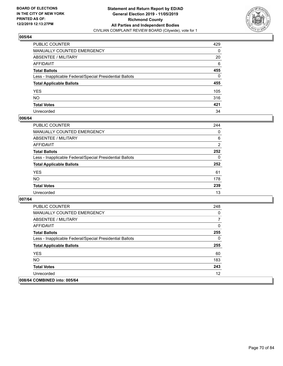

| PUBLIC COUNTER                                           | 429      |
|----------------------------------------------------------|----------|
| MANUALLY COUNTED EMERGENCY                               | 0        |
| ABSENTEE / MILITARY                                      | 20       |
| AFFIDAVIT                                                | 6        |
| Total Ballots                                            | 455      |
| Less - Inapplicable Federal/Special Presidential Ballots | $\Omega$ |
| <b>Total Applicable Ballots</b>                          | 455      |
| YES                                                      | 105      |
| NO.                                                      | 316      |
| <b>Total Votes</b>                                       | 421      |
| Unrecorded                                               | 34       |

#### **006/64**

| <b>PUBLIC COUNTER</b>                                    | 244            |
|----------------------------------------------------------|----------------|
| <b>MANUALLY COUNTED EMERGENCY</b>                        | $\Omega$       |
| ABSENTEE / MILITARY                                      | 6              |
| AFFIDAVIT                                                | $\overline{2}$ |
| <b>Total Ballots</b>                                     | 252            |
| Less - Inapplicable Federal/Special Presidential Ballots | $\Omega$       |
| <b>Total Applicable Ballots</b>                          | 252            |
| <b>YES</b>                                               | 61             |
| <b>NO</b>                                                | 178            |
| <b>Total Votes</b>                                       | 239            |
| Unrecorded                                               | 13             |

| <b>PUBLIC COUNTER</b>                                    | 248      |
|----------------------------------------------------------|----------|
| <b>MANUALLY COUNTED EMERGENCY</b>                        | 0        |
| ABSENTEE / MILITARY                                      | 7        |
| AFFIDAVIT                                                | 0        |
| <b>Total Ballots</b>                                     | 255      |
| Less - Inapplicable Federal/Special Presidential Ballots | $\Omega$ |
| <b>Total Applicable Ballots</b>                          | 255      |
| <b>YES</b>                                               | 60       |
| <b>NO</b>                                                | 183      |
| <b>Total Votes</b>                                       | 243      |
| Unrecorded                                               | 12       |
| 008/64 COMBINED into: 005/64                             |          |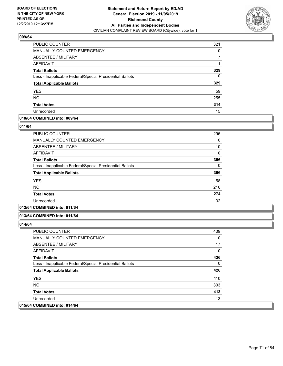

| PUBLIC COUNTER                                           | 321 |
|----------------------------------------------------------|-----|
| <b>MANUALLY COUNTED EMERGENCY</b>                        | 0   |
| ABSENTEE / MILITARY                                      |     |
| AFFIDAVIT                                                |     |
| <b>Total Ballots</b>                                     | 329 |
| Less - Inapplicable Federal/Special Presidential Ballots | 0   |
| <b>Total Applicable Ballots</b>                          | 329 |
| <b>YES</b>                                               | 59  |
| <b>NO</b>                                                | 255 |
| <b>Total Votes</b>                                       | 314 |
| Unrecorded                                               | 15  |

### **010/64 COMBINED into: 009/64**

#### **011/64**

| <b>PUBLIC COUNTER</b>                                    | 296          |
|----------------------------------------------------------|--------------|
| <b>MANUALLY COUNTED EMERGENCY</b>                        | 0            |
| ABSENTEE / MILITARY                                      | 10           |
| AFFIDAVIT                                                | $\mathbf{0}$ |
| <b>Total Ballots</b>                                     | 306          |
| Less - Inapplicable Federal/Special Presidential Ballots | 0            |
| <b>Total Applicable Ballots</b>                          | 306          |
| <b>YES</b>                                               | 58           |
| <b>NO</b>                                                | 216          |
| <b>Total Votes</b>                                       | 274          |
| Unrecorded                                               | 32           |
|                                                          |              |

# **012/64 COMBINED into: 011/64**

#### **013/64 COMBINED into: 011/64**

| <b>PUBLIC COUNTER</b>                                    | 409 |
|----------------------------------------------------------|-----|
| <b>MANUALLY COUNTED EMERGENCY</b>                        | 0   |
| ABSENTEE / MILITARY                                      | 17  |
| AFFIDAVIT                                                | 0   |
| <b>Total Ballots</b>                                     | 426 |
| Less - Inapplicable Federal/Special Presidential Ballots | 0   |
| <b>Total Applicable Ballots</b>                          | 426 |
| <b>YES</b>                                               | 110 |
| NO.                                                      | 303 |
| <b>Total Votes</b>                                       | 413 |
| Unrecorded                                               | 13  |
| 015/64 COMBINED into: 014/64                             |     |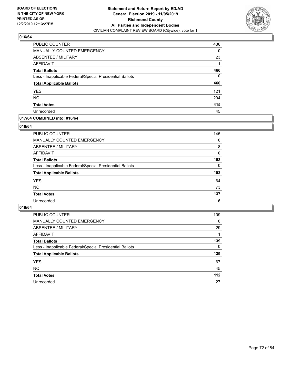

| PUBLIC COUNTER                                           | 436 |
|----------------------------------------------------------|-----|
| <b>MANUALLY COUNTED EMERGENCY</b>                        | 0   |
| ABSENTEE / MILITARY                                      | 23  |
| AFFIDAVIT                                                |     |
| <b>Total Ballots</b>                                     | 460 |
| Less - Inapplicable Federal/Special Presidential Ballots | 0   |
| <b>Total Applicable Ballots</b>                          | 460 |
| <b>YES</b>                                               | 121 |
| <b>NO</b>                                                | 294 |
| <b>Total Votes</b>                                       | 415 |
| Unrecorded                                               | 45  |

### **017/64 COMBINED into: 016/64**

### **018/64**

| PUBLIC COUNTER                                           | 145      |
|----------------------------------------------------------|----------|
| MANUALLY COUNTED EMERGENCY                               | $\Omega$ |
| ABSENTEE / MILITARY                                      | 8        |
| AFFIDAVIT                                                | $\Omega$ |
| <b>Total Ballots</b>                                     | 153      |
| Less - Inapplicable Federal/Special Presidential Ballots | $\Omega$ |
| <b>Total Applicable Ballots</b>                          | 153      |
| <b>YES</b>                                               | 64       |
| <b>NO</b>                                                | 73       |
| <b>Total Votes</b>                                       | 137      |
| Unrecorded                                               | 16       |
|                                                          |          |

| <b>PUBLIC COUNTER</b>                                    | 109      |
|----------------------------------------------------------|----------|
| MANUALLY COUNTED EMERGENCY                               | 0        |
| ABSENTEE / MILITARY                                      | 29       |
| AFFIDAVIT                                                |          |
| <b>Total Ballots</b>                                     | 139      |
| Less - Inapplicable Federal/Special Presidential Ballots | $\Omega$ |
| <b>Total Applicable Ballots</b>                          | 139      |
| <b>YES</b>                                               | 67       |
| <b>NO</b>                                                | 45       |
| <b>Total Votes</b>                                       | 112      |
| Unrecorded                                               | 27       |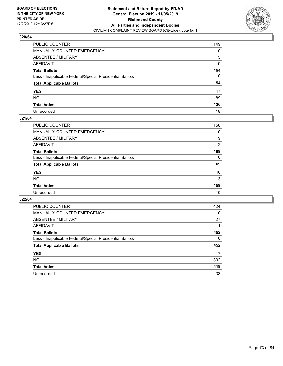

| PUBLIC COUNTER                                           | 149          |
|----------------------------------------------------------|--------------|
| MANUALLY COUNTED EMERGENCY                               | 0            |
| ABSENTEE / MILITARY                                      | 5            |
| AFFIDAVIT                                                | 0            |
| Total Ballots                                            | 154          |
| Less - Inapplicable Federal/Special Presidential Ballots | $\mathbf{0}$ |
| <b>Total Applicable Ballots</b>                          | 154          |
| YES                                                      | 47           |
| NO.                                                      | 89           |
| <b>Total Votes</b>                                       | 136          |
| Unrecorded                                               | 18           |

## **021/64**

| PUBLIC COUNTER                                           | 158      |
|----------------------------------------------------------|----------|
| MANUALLY COUNTED EMERGENCY                               | 0        |
| ABSENTEE / MILITARY                                      | 9        |
| AFFIDAVIT                                                | 2        |
| <b>Total Ballots</b>                                     | 169      |
| Less - Inapplicable Federal/Special Presidential Ballots | $\Omega$ |
| <b>Total Applicable Ballots</b>                          | 169      |
| <b>YES</b>                                               | 46       |
| <b>NO</b>                                                | 113      |
| <b>Total Votes</b>                                       | 159      |
| Unrecorded                                               | 10       |

| PUBLIC COUNTER                                           | 424      |
|----------------------------------------------------------|----------|
| MANUALLY COUNTED EMERGENCY                               | $\Omega$ |
| ABSENTEE / MILITARY                                      | 27       |
| AFFIDAVIT                                                |          |
| <b>Total Ballots</b>                                     | 452      |
| Less - Inapplicable Federal/Special Presidential Ballots | 0        |
| <b>Total Applicable Ballots</b>                          | 452      |
| <b>YES</b>                                               | 117      |
| NO.                                                      | 302      |
| <b>Total Votes</b>                                       | 419      |
| Unrecorded                                               | 33       |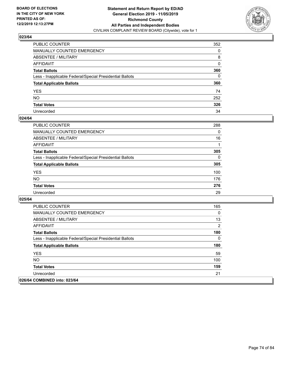

| PUBLIC COUNTER                                           | 352 |
|----------------------------------------------------------|-----|
| MANUALLY COUNTED EMERGENCY                               | 0   |
| ABSENTEE / MILITARY                                      | 8   |
| AFFIDAVIT                                                | 0   |
| Total Ballots                                            | 360 |
| Less - Inapplicable Federal/Special Presidential Ballots | 0   |
| <b>Total Applicable Ballots</b>                          | 360 |
| YES                                                      | 74  |
| NO.                                                      | 252 |
| <b>Total Votes</b>                                       | 326 |
| Unrecorded                                               | 34  |

## **024/64**

| PUBLIC COUNTER                                           | 288      |
|----------------------------------------------------------|----------|
| <b>MANUALLY COUNTED EMERGENCY</b>                        | $\Omega$ |
| <b>ABSENTEE / MILITARY</b>                               | 16       |
| <b>AFFIDAVIT</b>                                         |          |
| <b>Total Ballots</b>                                     | 305      |
| Less - Inapplicable Federal/Special Presidential Ballots | $\Omega$ |
| <b>Total Applicable Ballots</b>                          | 305      |
| <b>YES</b>                                               | 100      |
| <b>NO</b>                                                | 176      |
| <b>Total Votes</b>                                       | 276      |
| Unrecorded                                               | 29       |

| <b>PUBLIC COUNTER</b>                                    | 165      |
|----------------------------------------------------------|----------|
| <b>MANUALLY COUNTED EMERGENCY</b>                        | $\Omega$ |
| ABSENTEE / MILITARY                                      | 13       |
| AFFIDAVIT                                                | 2        |
| <b>Total Ballots</b>                                     | 180      |
| Less - Inapplicable Federal/Special Presidential Ballots | $\Omega$ |
| <b>Total Applicable Ballots</b>                          | 180      |
| <b>YES</b>                                               | 59       |
| NO.                                                      | 100      |
| <b>Total Votes</b>                                       | 159      |
| Unrecorded                                               | 21       |
| 026/64 COMBINED into: 023/64                             |          |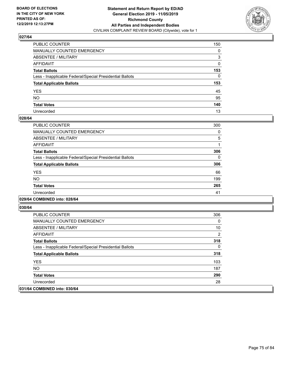

| PUBLIC COUNTER                                           | 150 |
|----------------------------------------------------------|-----|
| MANUALLY COUNTED EMERGENCY                               | 0   |
| ABSENTEE / MILITARY                                      | 3   |
| AFFIDAVIT                                                | 0   |
| Total Ballots                                            | 153 |
| Less - Inapplicable Federal/Special Presidential Ballots | 0   |
| <b>Total Applicable Ballots</b>                          | 153 |
| YES                                                      | 45  |
| NO.                                                      | 95  |
| <b>Total Votes</b>                                       | 140 |
| Unrecorded                                               | 13  |

## **028/64**

| <b>PUBLIC COUNTER</b>                                    | 300 |
|----------------------------------------------------------|-----|
| <b>MANUALLY COUNTED EMERGENCY</b>                        | 0   |
| ABSENTEE / MILITARY                                      | 5   |
| <b>AFFIDAVIT</b>                                         |     |
| <b>Total Ballots</b>                                     | 306 |
| Less - Inapplicable Federal/Special Presidential Ballots | 0   |
| <b>Total Applicable Ballots</b>                          | 306 |
| <b>YES</b>                                               | 66  |
| NO                                                       | 199 |
| <b>Total Votes</b>                                       | 265 |
| Unrecorded                                               | 41  |
|                                                          |     |

#### **029/64 COMBINED into: 028/64**

| PUBLIC COUNTER                                           | 306 |
|----------------------------------------------------------|-----|
| <b>MANUALLY COUNTED EMERGENCY</b>                        | 0   |
| ABSENTEE / MILITARY                                      | 10  |
| AFFIDAVIT                                                | 2   |
| <b>Total Ballots</b>                                     | 318 |
| Less - Inapplicable Federal/Special Presidential Ballots | 0   |
| <b>Total Applicable Ballots</b>                          | 318 |
| <b>YES</b>                                               | 103 |
| NO.                                                      | 187 |
| <b>Total Votes</b>                                       | 290 |
| Unrecorded                                               | 28  |
| 031/64 COMBINED into: 030/64                             |     |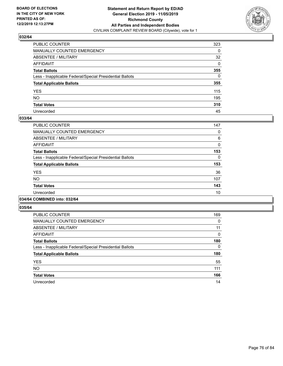

| PUBLIC COUNTER                                           | 323          |
|----------------------------------------------------------|--------------|
| MANUALLY COUNTED EMERGENCY                               | 0            |
| ABSENTEE / MILITARY                                      | 32           |
| AFFIDAVIT                                                | $\Omega$     |
| Total Ballots                                            | 355          |
| Less - Inapplicable Federal/Special Presidential Ballots | $\mathbf{0}$ |
| <b>Total Applicable Ballots</b>                          | 355          |
| YES                                                      | 115          |
| NO.                                                      | 195          |
| <b>Total Votes</b>                                       | 310          |
| Unrecorded                                               | 45           |

## **033/64**

| PUBLIC COUNTER                                           | 147      |
|----------------------------------------------------------|----------|
| <b>MANUALLY COUNTED EMERGENCY</b>                        | 0        |
| ABSENTEE / MILITARY                                      | 6        |
| <b>AFFIDAVIT</b>                                         | 0        |
| <b>Total Ballots</b>                                     | 153      |
| Less - Inapplicable Federal/Special Presidential Ballots | $\Omega$ |
| <b>Total Applicable Ballots</b>                          | 153      |
| <b>YES</b>                                               | 36       |
| <b>NO</b>                                                | 107      |
| <b>Total Votes</b>                                       | 143      |
| Unrecorded                                               | 10       |
|                                                          |          |

# **034/64 COMBINED into: 032/64**

| <b>PUBLIC COUNTER</b>                                    | 169      |
|----------------------------------------------------------|----------|
| <b>MANUALLY COUNTED EMERGENCY</b>                        | $\Omega$ |
| ABSENTEE / MILITARY                                      | 11       |
| <b>AFFIDAVIT</b>                                         | $\Omega$ |
| <b>Total Ballots</b>                                     | 180      |
| Less - Inapplicable Federal/Special Presidential Ballots | $\Omega$ |
| <b>Total Applicable Ballots</b>                          | 180      |
| <b>YES</b>                                               | 55       |
| <b>NO</b>                                                | 111      |
| <b>Total Votes</b>                                       | 166      |
| Unrecorded                                               | 14       |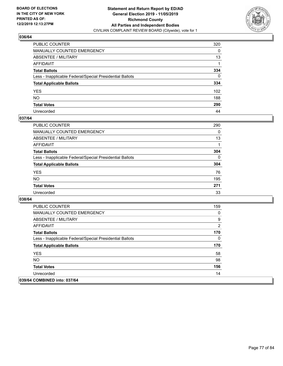

| PUBLIC COUNTER                                           | 320          |
|----------------------------------------------------------|--------------|
| MANUALLY COUNTED EMERGENCY                               | 0            |
| ABSENTEE / MILITARY                                      | 13           |
| AFFIDAVIT                                                |              |
| Total Ballots                                            | 334          |
| Less - Inapplicable Federal/Special Presidential Ballots | $\mathbf{0}$ |
| <b>Total Applicable Ballots</b>                          | 334          |
| YES                                                      | 102          |
| NO.                                                      | 188          |
| <b>Total Votes</b>                                       | 290          |
| Unrecorded                                               | 44           |

## **037/64**

| <b>PUBLIC COUNTER</b>                                    | 290      |
|----------------------------------------------------------|----------|
| <b>MANUALLY COUNTED EMERGENCY</b>                        | 0        |
| ABSENTEE / MILITARY                                      | 13       |
| AFFIDAVIT                                                |          |
| <b>Total Ballots</b>                                     | 304      |
| Less - Inapplicable Federal/Special Presidential Ballots | $\Omega$ |
| <b>Total Applicable Ballots</b>                          | 304      |
| <b>YES</b>                                               | 76       |
| <b>NO</b>                                                | 195      |
| <b>Total Votes</b>                                       | 271      |
| Unrecorded                                               | 33       |

| <b>PUBLIC COUNTER</b>                                    | 159            |
|----------------------------------------------------------|----------------|
| <b>MANUALLY COUNTED EMERGENCY</b>                        | 0              |
| ABSENTEE / MILITARY                                      | 9              |
| AFFIDAVIT                                                | $\overline{2}$ |
| <b>Total Ballots</b>                                     | 170            |
| Less - Inapplicable Federal/Special Presidential Ballots | 0              |
| <b>Total Applicable Ballots</b>                          | 170            |
| <b>YES</b>                                               | 58             |
| NO.                                                      | 98             |
| <b>Total Votes</b>                                       | 156            |
| Unrecorded                                               | 14             |
| 039/64 COMBINED into: 037/64                             |                |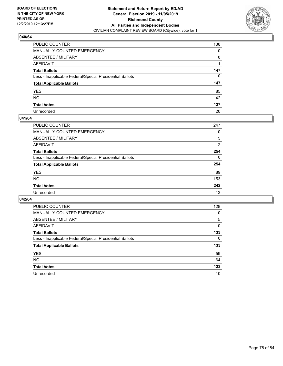

| PUBLIC COUNTER                                           | 138 |
|----------------------------------------------------------|-----|
| MANUALLY COUNTED EMERGENCY                               | 0   |
| ABSENTEE / MILITARY                                      | 8   |
| AFFIDAVIT                                                |     |
| Total Ballots                                            | 147 |
| Less - Inapplicable Federal/Special Presidential Ballots | 0   |
| <b>Total Applicable Ballots</b>                          | 147 |
| YES                                                      | 85  |
| NO.                                                      | 42  |
| <b>Total Votes</b>                                       | 127 |
| Unrecorded                                               | 20  |

## **041/64**

| <b>PUBLIC COUNTER</b>                                    | 247            |
|----------------------------------------------------------|----------------|
| MANUALLY COUNTED EMERGENCY                               | 0              |
| ABSENTEE / MILITARY                                      | 5              |
| AFFIDAVIT                                                | $\overline{2}$ |
| <b>Total Ballots</b>                                     | 254            |
| Less - Inapplicable Federal/Special Presidential Ballots | $\Omega$       |
| <b>Total Applicable Ballots</b>                          | 254            |
| <b>YES</b>                                               | 89             |
| <b>NO</b>                                                | 153            |
| <b>Total Votes</b>                                       | 242            |
| Unrecorded                                               | 12             |

| PUBLIC COUNTER                                           | 128      |
|----------------------------------------------------------|----------|
| MANUALLY COUNTED EMERGENCY                               | 0        |
| ABSENTEE / MILITARY                                      | 5        |
| AFFIDAVIT                                                | $\Omega$ |
| <b>Total Ballots</b>                                     | 133      |
| Less - Inapplicable Federal/Special Presidential Ballots | $\Omega$ |
| <b>Total Applicable Ballots</b>                          | 133      |
| <b>YES</b>                                               | 59       |
| <b>NO</b>                                                | 64       |
| <b>Total Votes</b>                                       | 123      |
| Unrecorded                                               | 10       |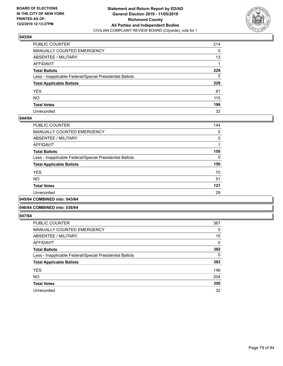

| PUBLIC COUNTER                                           | 214          |
|----------------------------------------------------------|--------------|
| MANUALLY COUNTED EMERGENCY                               | $\mathbf{0}$ |
| ABSENTEE / MILITARY                                      | 13           |
| AFFIDAVIT                                                |              |
| Total Ballots                                            | 228          |
| Less - Inapplicable Federal/Special Presidential Ballots | 0            |
| <b>Total Applicable Ballots</b>                          | 228          |
| YES                                                      | 81           |
| NO.                                                      | 115          |
| <b>Total Votes</b>                                       | 196          |
| Unrecorded                                               | 32           |

## **044/64**

| PUBLIC COUNTER                                           | 144 |
|----------------------------------------------------------|-----|
| <b>MANUALLY COUNTED EMERGENCY</b>                        | 0   |
| ABSENTEE / MILITARY                                      | 5   |
| AFFIDAVIT                                                |     |
| <b>Total Ballots</b>                                     | 150 |
| Less - Inapplicable Federal/Special Presidential Ballots | 0   |
| <b>Total Applicable Ballots</b>                          | 150 |
| <b>YES</b>                                               | 70  |
| <b>NO</b>                                                | 51  |
| <b>Total Votes</b>                                       | 121 |
| Unrecorded                                               | 29  |
|                                                          |     |

#### **045/64 COMBINED into: 043/64**

# **046/64 COMBINED into: 036/64**

| <b>PUBLIC COUNTER</b>                                    | 367      |
|----------------------------------------------------------|----------|
| <b>MANUALLY COUNTED EMERGENCY</b>                        | 0        |
| ABSENTEE / MILITARY                                      | 15       |
| AFFIDAVIT                                                | 0        |
| <b>Total Ballots</b>                                     | 382      |
| Less - Inapplicable Federal/Special Presidential Ballots | $\Omega$ |
| <b>Total Applicable Ballots</b>                          | 382      |
| <b>YES</b>                                               | 146      |
| <b>NO</b>                                                | 204      |
| <b>Total Votes</b>                                       | 350      |
| Unrecorded                                               | 32       |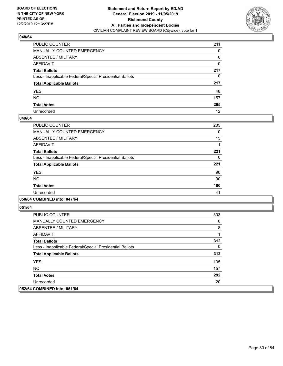

| PUBLIC COUNTER                                           | 211 |
|----------------------------------------------------------|-----|
| MANUALLY COUNTED EMERGENCY                               | 0   |
| ABSENTEE / MILITARY                                      | 6   |
| AFFIDAVIT                                                | 0   |
| Total Ballots                                            | 217 |
| Less - Inapplicable Federal/Special Presidential Ballots | 0   |
| <b>Total Applicable Ballots</b>                          | 217 |
| YES                                                      | 48  |
| NO.                                                      | 157 |
| <b>Total Votes</b>                                       | 205 |
| Unrecorded                                               | 12  |

## **049/64**

| PUBLIC COUNTER                                           | 205      |
|----------------------------------------------------------|----------|
| MANUALLY COUNTED EMERGENCY                               | $\Omega$ |
| ABSENTEE / MILITARY                                      | 15       |
| AFFIDAVIT                                                |          |
| <b>Total Ballots</b>                                     | 221      |
| Less - Inapplicable Federal/Special Presidential Ballots | 0        |
| <b>Total Applicable Ballots</b>                          | 221      |
| <b>YES</b>                                               | 90       |
| NO.                                                      | 90       |
| <b>Total Votes</b>                                       | 180      |
| Unrecorded                                               | 41       |
|                                                          |          |

# **050/64 COMBINED into: 047/64**

| <b>PUBLIC COUNTER</b>                                    | 303 |
|----------------------------------------------------------|-----|
| <b>MANUALLY COUNTED EMERGENCY</b>                        | 0   |
| ABSENTEE / MILITARY                                      | 8   |
| AFFIDAVIT                                                |     |
| <b>Total Ballots</b>                                     | 312 |
| Less - Inapplicable Federal/Special Presidential Ballots | 0   |
| <b>Total Applicable Ballots</b>                          | 312 |
| <b>YES</b>                                               | 135 |
| NO.                                                      | 157 |
| <b>Total Votes</b>                                       | 292 |
| Unrecorded                                               | 20  |
| 052/64 COMBINED into: 051/64                             |     |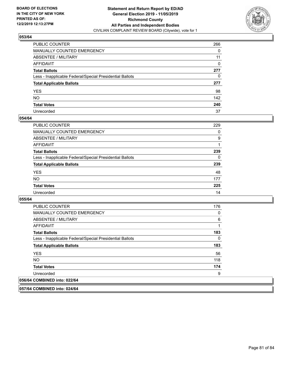

| PUBLIC COUNTER                                           | 266 |
|----------------------------------------------------------|-----|
| MANUALLY COUNTED EMERGENCY                               | 0   |
| ABSENTEE / MILITARY                                      | 11  |
| AFFIDAVIT                                                | 0   |
| Total Ballots                                            | 277 |
| Less - Inapplicable Federal/Special Presidential Ballots | 0   |
| <b>Total Applicable Ballots</b>                          | 277 |
| YES                                                      | 98  |
| NO.                                                      | 142 |
| <b>Total Votes</b>                                       | 240 |
| Unrecorded                                               | 37  |

## **054/64**

| <b>PUBLIC COUNTER</b>                                    | 229      |
|----------------------------------------------------------|----------|
| MANUALLY COUNTED EMERGENCY                               | 0        |
| ABSENTEE / MILITARY                                      | 9        |
| AFFIDAVIT                                                |          |
| <b>Total Ballots</b>                                     | 239      |
| Less - Inapplicable Federal/Special Presidential Ballots | $\Omega$ |
| <b>Total Applicable Ballots</b>                          | 239      |
| <b>YES</b>                                               | 48       |
| <b>NO</b>                                                | 177      |
| <b>Total Votes</b>                                       | 225      |
| Unrecorded                                               | 14       |

**055/64** 

| <b>PUBLIC COUNTER</b>                                    | 176 |
|----------------------------------------------------------|-----|
| <b>MANUALLY COUNTED EMERGENCY</b>                        | 0   |
| ABSENTEE / MILITARY                                      | 6   |
| AFFIDAVIT                                                |     |
| <b>Total Ballots</b>                                     | 183 |
| Less - Inapplicable Federal/Special Presidential Ballots | 0   |
| <b>Total Applicable Ballots</b>                          | 183 |
| <b>YES</b>                                               | 56  |
| NO.                                                      | 118 |
| <b>Total Votes</b>                                       | 174 |
| Unrecorded                                               | 9   |
| 056/64 COMBINED into: 022/64                             |     |

**057/64 COMBINED into: 024/64**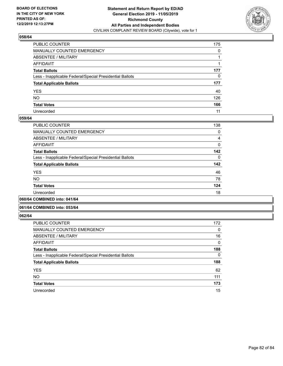

| PUBLIC COUNTER                                           | 175 |
|----------------------------------------------------------|-----|
| MANUALLY COUNTED EMERGENCY                               | 0   |
| ABSENTEE / MILITARY                                      |     |
| AFFIDAVIT                                                |     |
| Total Ballots                                            | 177 |
| Less - Inapplicable Federal/Special Presidential Ballots | 0   |
| <b>Total Applicable Ballots</b>                          | 177 |
| YES                                                      | 40  |
| NO.                                                      | 126 |
| <b>Total Votes</b>                                       | 166 |
| Unrecorded                                               | 11  |

## **059/64**

| PUBLIC COUNTER                                           | 138      |
|----------------------------------------------------------|----------|
|                                                          |          |
| MANUALLY COUNTED EMERGENCY                               | 0        |
| ABSENTEE / MILITARY                                      | 4        |
| AFFIDAVIT                                                | $\Omega$ |
| <b>Total Ballots</b>                                     | 142      |
| Less - Inapplicable Federal/Special Presidential Ballots | $\Omega$ |
| <b>Total Applicable Ballots</b>                          | 142      |
| <b>YES</b>                                               | 46       |
| <b>NO</b>                                                | 78       |
| <b>Total Votes</b>                                       | 124      |
| Unrecorded                                               | 18       |
|                                                          |          |

**060/64 COMBINED into: 041/64**

### **061/64 COMBINED into: 053/64**

| <b>PUBLIC COUNTER</b>                                    | 172      |
|----------------------------------------------------------|----------|
| <b>MANUALLY COUNTED EMERGENCY</b>                        | 0        |
| ABSENTEE / MILITARY                                      | 16       |
| AFFIDAVIT                                                | 0        |
| <b>Total Ballots</b>                                     | 188      |
| Less - Inapplicable Federal/Special Presidential Ballots | $\Omega$ |
| <b>Total Applicable Ballots</b>                          | 188      |
| <b>YES</b>                                               | 62       |
| <b>NO</b>                                                | 111      |
| <b>Total Votes</b>                                       | 173      |
| Unrecorded                                               | 15       |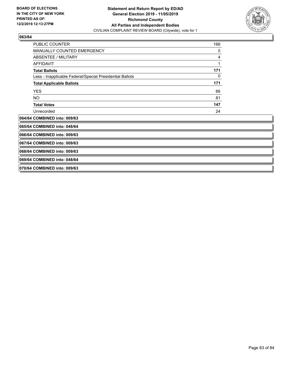

| <b>PUBLIC COUNTER</b>                                    | 166 |
|----------------------------------------------------------|-----|
| <b>MANUALLY COUNTED EMERGENCY</b>                        | 0   |
| <b>ABSENTEE / MILITARY</b>                               | 4   |
| <b>AFFIDAVIT</b>                                         | 1   |
| <b>Total Ballots</b>                                     | 171 |
| Less - Inapplicable Federal/Special Presidential Ballots | 0   |
| <b>Total Applicable Ballots</b>                          | 171 |
| <b>YES</b>                                               | 66  |
| NO.                                                      | 81  |
| <b>Total Votes</b>                                       | 147 |
| Unrecorded                                               | 24  |
| 064/64 COMBINED into: 009/63                             |     |
| 065/64 COMBINED into: 048/64                             |     |
| 066/64 COMBINED into: 009/63                             |     |
| 067/64 COMBINED into: 009/63                             |     |
| 068/64 COMBINED into: 009/63                             |     |
| 069/64 COMBINED into: 048/64                             |     |
| 070/64 COMBINED into: 009/63                             |     |